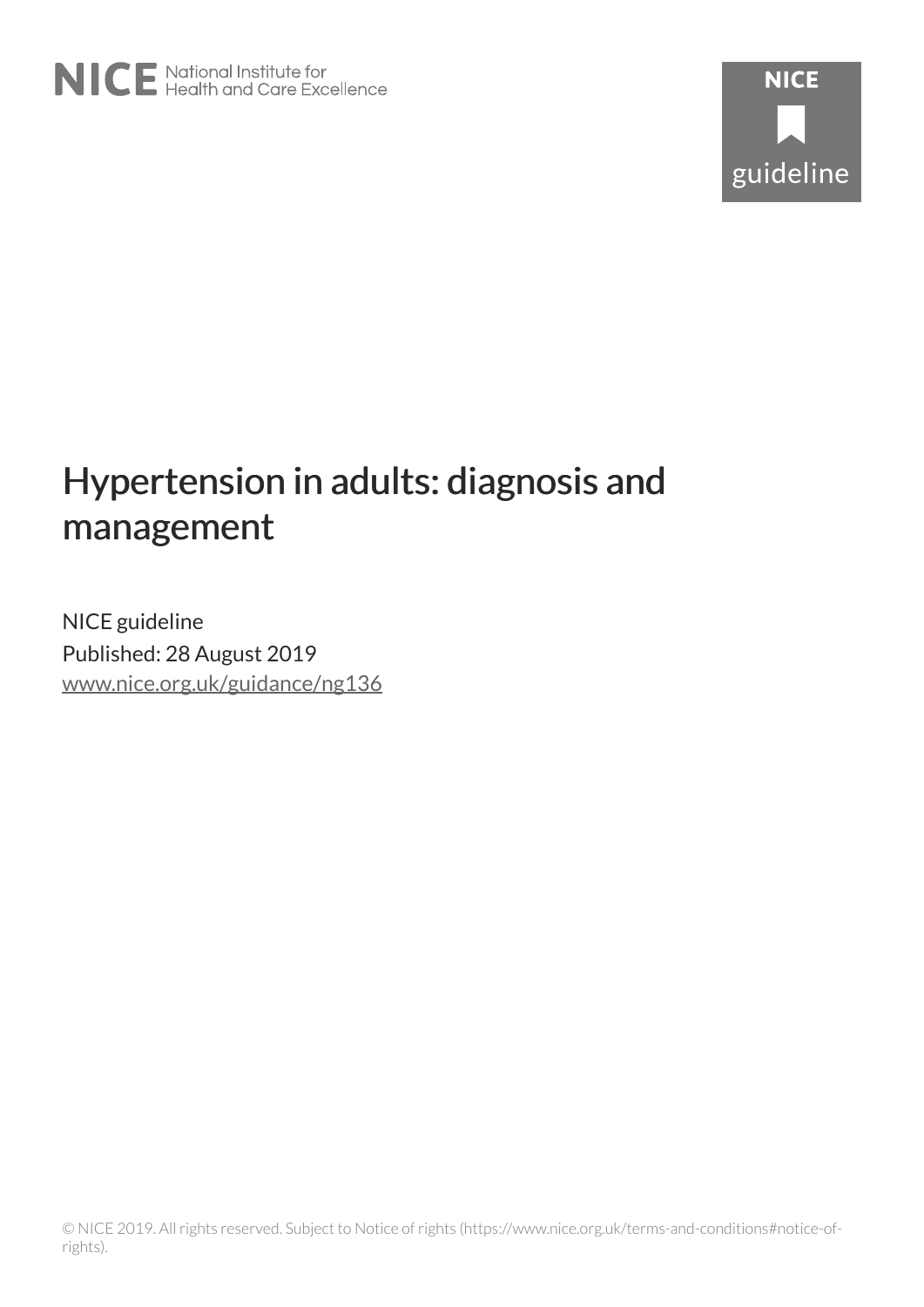# Hypertension in adults: diagnosis and management

NICE guideline Published: 28 August 2019 [www.nice.org.uk/guidance/ng136](https://www.nice.org.uk/guidance/ng136)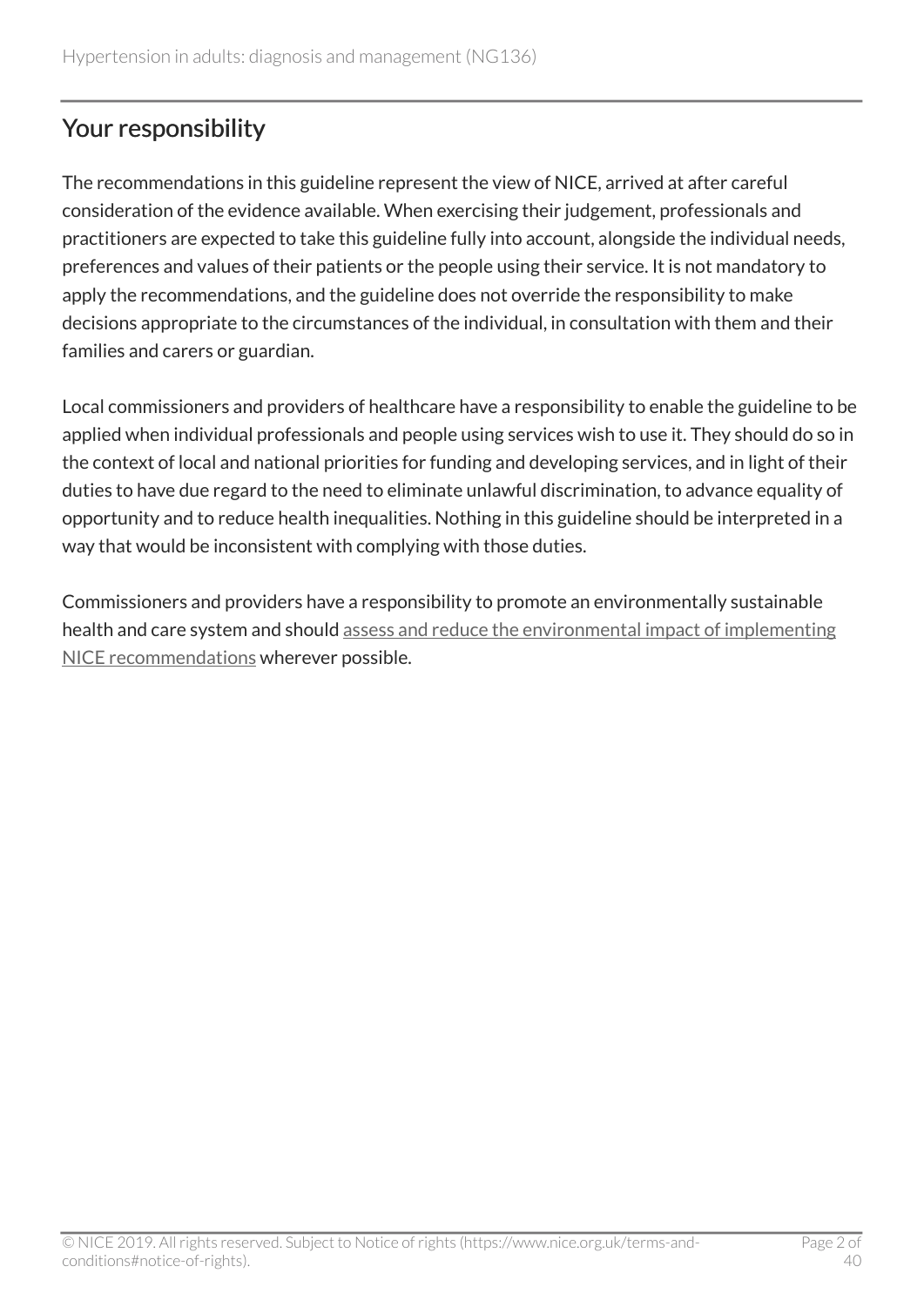# Your responsibility

The recommendations in this guideline represent the view of NICE, arrived at after careful consideration of the evidence available. When exercising their judgement, professionals and practitioners are expected to take this guideline fully into account, alongside the individual needs, preferences and values of their patients or the people using their service. It is not mandatory to apply the recommendations, and the guideline does not override the responsibility to make decisions appropriate to the circumstances of the individual, in consultation with them and their families and carers or guardian.

Local commissioners and providers of healthcare have a responsibility to enable the guideline to be applied when individual professionals and people using services wish to use it. They should do so in the context of local and national priorities for funding and developing services, and in light of their duties to have due regard to the need to eliminate unlawful discrimination, to advance equality of opportunity and to reduce health inequalities. Nothing in this guideline should be interpreted in a way that would be inconsistent with complying with those duties.

Commissioners and providers have a responsibility to promote an environmentally sustainable health and care system and should [assess and reduce the environmental impact of implementing](https://www.nice.org.uk/about/who-we-are/sustainability) [NICE recommendations](https://www.nice.org.uk/about/who-we-are/sustainability) wherever possible.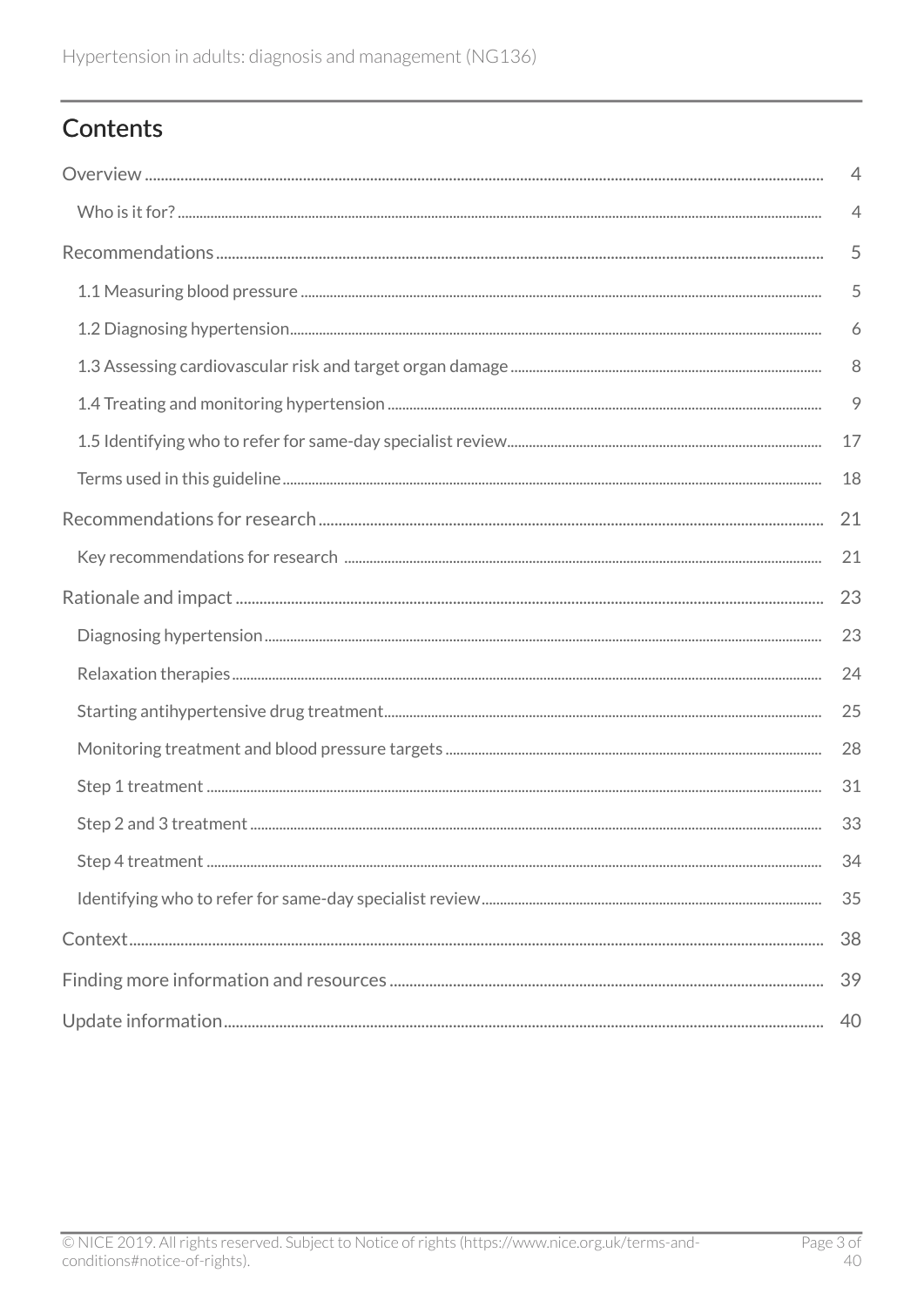# Contents

| $\overline{4}$ |
|----------------|
| $\overline{4}$ |
| 5              |
| 5              |
| 6              |
| 8              |
| 9              |
| 17             |
| 18             |
| 21             |
| 21             |
| 23             |
| 23             |
| 24             |
| 25             |
| 28             |
| 31             |
| 33             |
| 34             |
| 35             |
| 38             |
| 39             |
| 40             |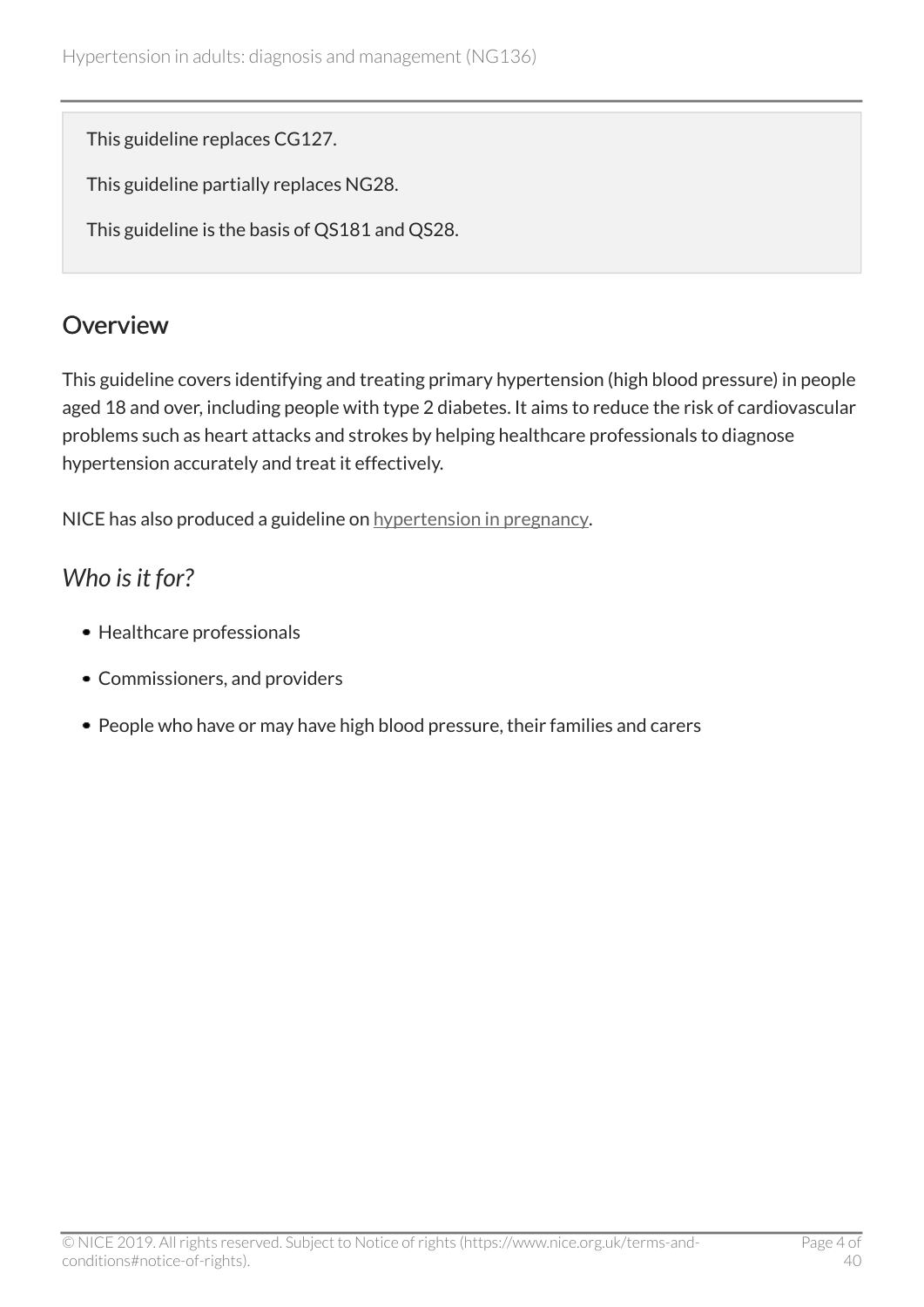This guideline replaces CG127.

This guideline partially replaces NG28.

This guideline is the basis of QS181 and QS28.

### <span id="page-3-0"></span>**Overview**

This guideline covers identifying and treating primary hypertension (high blood pressure) in people aged 18 and over, including people with type 2 diabetes. It aims to reduce the risk of cardiovascular problems such as heart attacks and strokes by helping healthcare professionals to diagnose hypertension accurately and treat it effectively.

NICE has also produced a guideline on [hypertension in pregnancy.](https://www.nice.org.uk/guidance/ng133)

# <span id="page-3-1"></span>*Who is it for?*

- Healthcare professionals
- Commissioners, and providers
- People who have or may have high blood pressure, their families and carers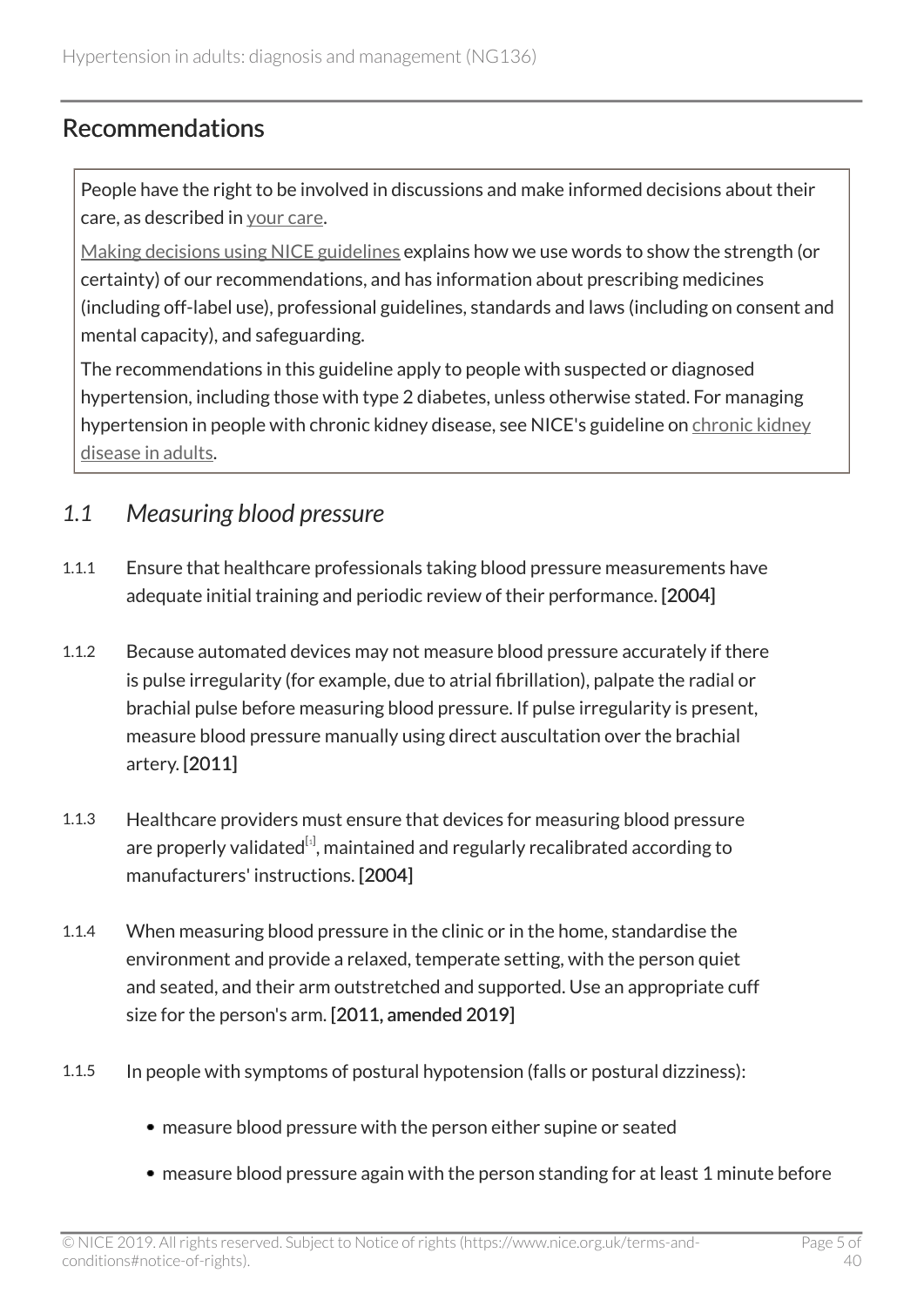### <span id="page-4-0"></span>Recommendations

People have the right to be involved in discussions and make informed decisions about their care, as described in [your care](http://www.nice.org.uk/about/nice-communities/public-involvement/your-care).

[Making decisions using NICE guidelines](http://www.nice.org.uk/about/what-we-do/our-programmes/nice-guidance/nice-guidelines/using-NICE-guidelines-to-make-decisions) explains how we use words to show the strength (or certainty) of our recommendations, and has information about prescribing medicines (including off-label use), professional guidelines, standards and laws (including on consent and mental capacity), and safeguarding.

The recommendations in this guideline apply to people with suspected or diagnosed hypertension, including those with type 2 diabetes, unless otherwise stated. For managing hypertension in people with [chronic kidney](https://www.nice.org.uk/guidance/cg182) disease, see NICE's guideline on chronic kidney [disease in adults](https://www.nice.org.uk/guidance/cg182).

### <span id="page-4-1"></span>*1.1 Measuring blood pressure*

- 1.1.1 Ensure that healthcare professionals taking blood pressure measurements have adequate initial training and periodic review of their performance. [2004]
- 1.1.2 Because automated devices may not measure blood pressure accurately if there is pulse irregularity (for example, due to atrial fibrillation), palpate the radial or brachial pulse before measuring blood pressure. If pulse irregularity is present, measure blood pressure manually using direct auscultation over the brachial artery. [2011]
- <span id="page-4-2"></span>1.1.3 Healthcare providers must ensure that devices for measuring blood pressure are properly validated $^{[i]}$ , maintained and regularly recalibrated according to manufacturers' instructions. [2004]
- 1.1.4 When measuring blood pressure in the clinic or in the home, standardise the environment and provide a relaxed, temperate setting, with the person quiet and seated, and their arm outstretched and supported. Use an appropriate cuff size for the person's arm. [2011, amended 2019]
- 1.1.5 In people with symptoms of postural hypotension (falls or postural dizziness):
	- measure blood pressure with the person either supine or seated
	- measure blood pressure again with the person standing for at least 1 minute before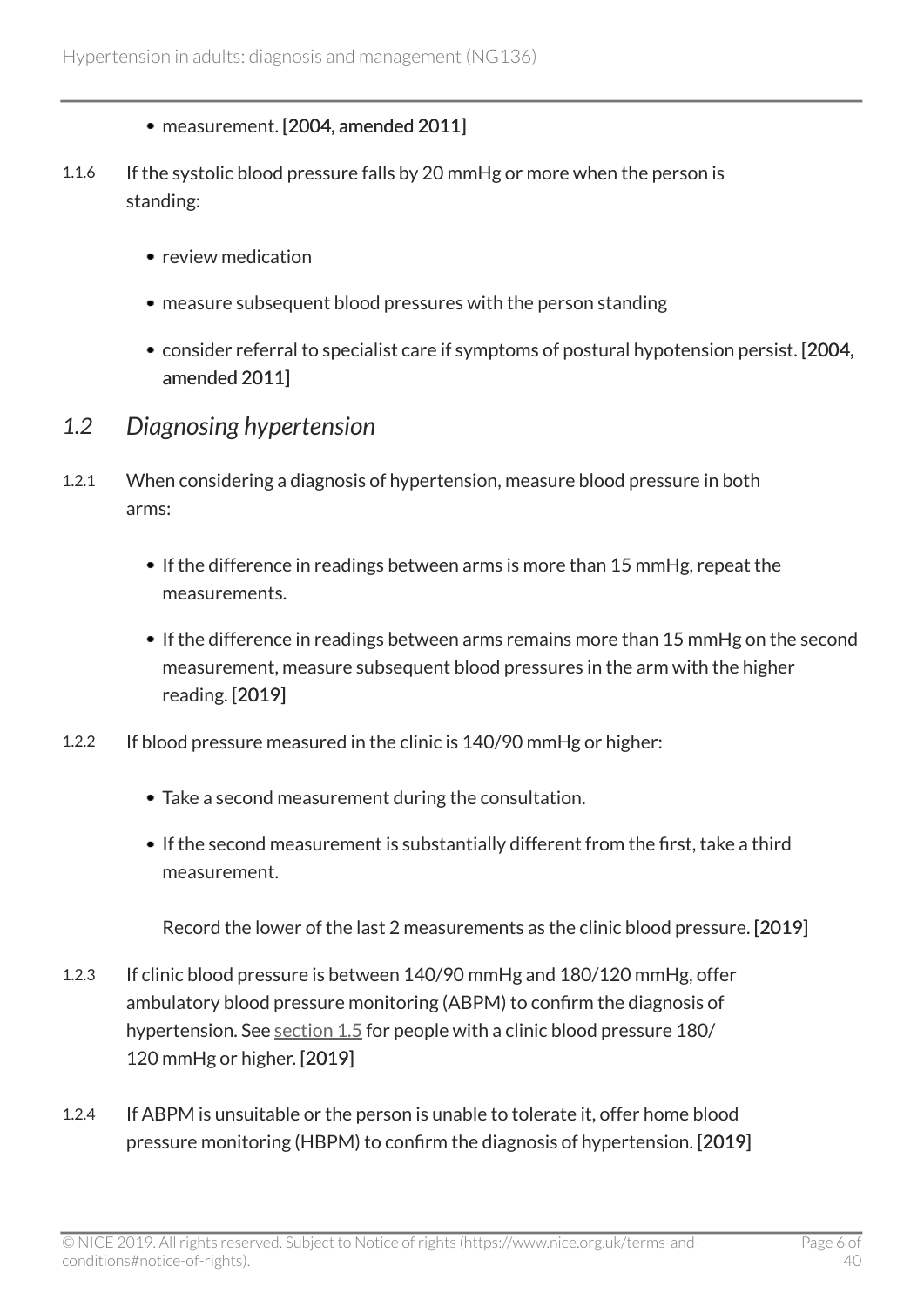- measurement. [2004, amended 2011]
- 1.1.6 If the systolic blood pressure falls by 20 mmHg or more when the person is standing:
	- review medication
	- measure subsequent blood pressures with the person standing
	- consider referral to specialist care if symptoms of postural hypotension persist. [2004, amended 2011]
- <span id="page-5-0"></span>*1.2 Diagnosing hypertension*
- 1.2.1 When considering a diagnosis of hypertension, measure blood pressure in both arms:
	- If the difference in readings between arms is more than 15 mmHg, repeat the measurements.
	- If the difference in readings between arms remains more than 15 mmHg on the second measurement, measure subsequent blood pressures in the arm with the higher reading. [2019]
- 1.2.2 If blood pressure measured in the clinic is 140/90 mmHg or higher:
	- Take a second measurement during the consultation.
	- If the second measurement is substantially different from the first, take a third measurement.

Record the lower of the last 2 measurements as the clinic blood pressure. [2019]

- 1.2.3 If clinic blood pressure is between 140/90 mmHg and 180/120 mmHg, offer ambulatory blood pressure monitoring (ABPM) to confirm the diagnosis of hypertension. See [section](#page-16-0) 1.5 for people with a clinic blood pressure 180/ 120 mmHg or higher. [2019]
- 1.2.4 If ABPM is unsuitable or the person is unable to tolerate it, offer home blood pressure monitoring (HBPM) to confirm the diagnosis of hypertension. [2019]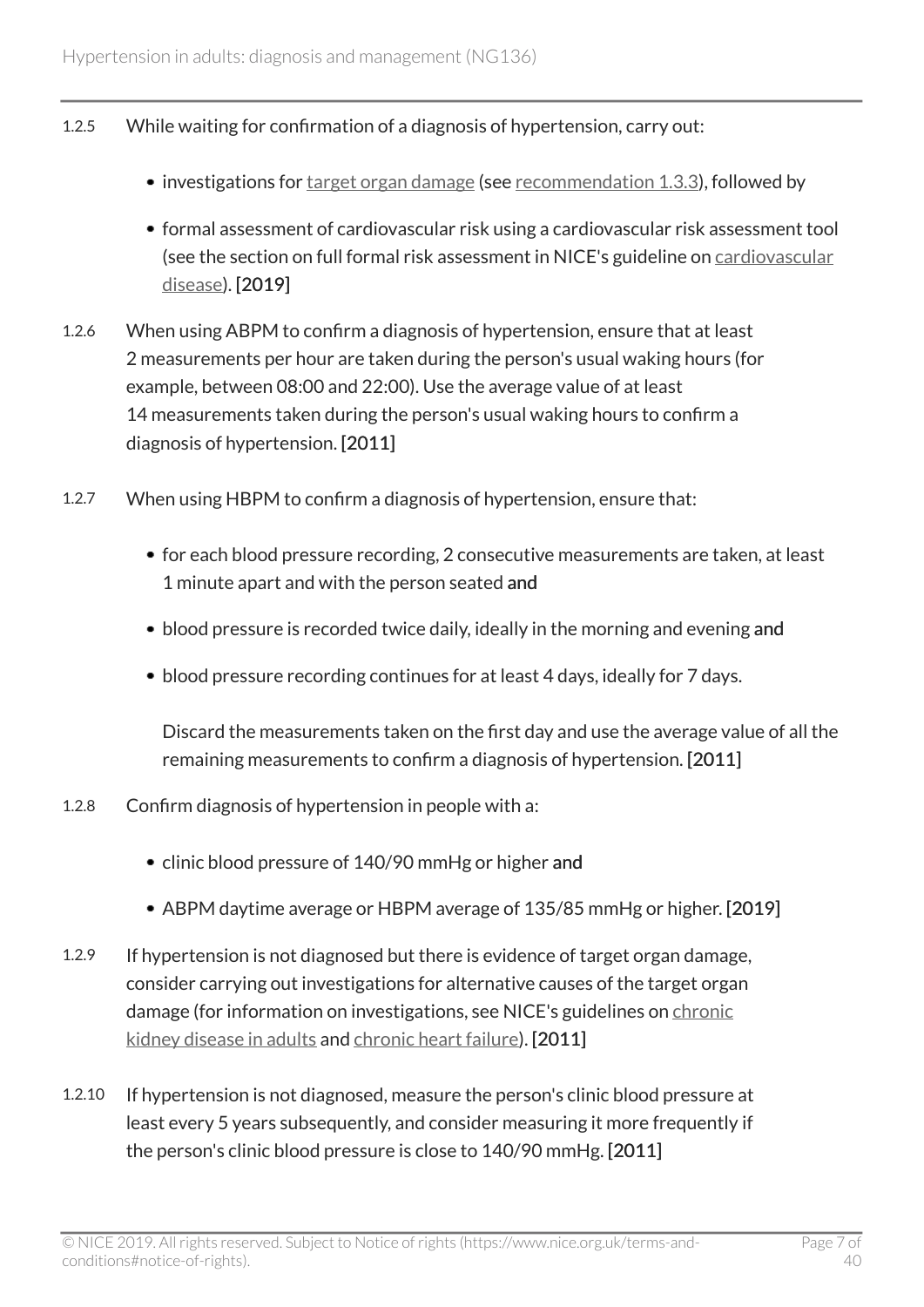- 1.2.5 While waiting for confirmation of a diagnosis of hypertension, carry out:
	- investigations for [target organ damage](#page-18-1) (see [recommendation 1.3.3](#page-7-0)), followed by
	- formal assessment of cardiovascular risk using a cardiovascular risk assessment tool (see the section on full formal risk assessment in NICE's guideline on [cardiovascular](https://www.nice.org.uk/guidance/cg181/chapter/1-Recommendations#identifying-and-assessing-cardiovascular-disease-cvd-risk-2) [disease](https://www.nice.org.uk/guidance/cg181/chapter/1-Recommendations#identifying-and-assessing-cardiovascular-disease-cvd-risk-2)). [2019]
- 1.2.6 When using ABPM to confirm a diagnosis of hypertension, ensure that at least 2 measurements per hour are taken during the person's usual waking hours (for example, between 08:00 and 22:00). Use the average value of at least 14 measurements taken during the person's usual waking hours to confirm a diagnosis of hypertension. [2011]
- 1.2.7 When using HBPM to confirm a diagnosis of hypertension, ensure that:
	- for each blood pressure recording, 2 consecutive measurements are taken, at least 1 minute apart and with the person seated and
	- blood pressure is recorded twice daily, ideally in the morning and evening and
	- blood pressure recording continues for at least 4 days, ideally for 7 days.

Discard the measurements taken on the first day and use the average value of all the remaining measurements to confirm a diagnosis of hypertension. [2011]

- 1.2.8 Confirm diagnosis of hypertension in people with a:
	- clinic blood pressure of 140/90 mmHg or higher and
	- ABPM daytime average or HBPM average of 135/85 mmHg or higher. [2019]
- 1.2.9 If hypertension is not diagnosed but there is evidence of target organ damage, consider carrying out investigations for alternative causes of the target organ damage (for information on investigations, see NICE's guidelines on [chronic](https://www.nice.org.uk/guidance/cg182) [kidney disease in adults](https://www.nice.org.uk/guidance/cg182) and [chronic heart failure](https://www.nice.org.uk/guidance/ng106)). [2011]
- 1.2.10 If hypertension is not diagnosed, measure the person's clinic blood pressure at least every 5 years subsequently, and consider measuring it more frequently if the person's clinic blood pressure is close to 140/90 mmHg. [2011]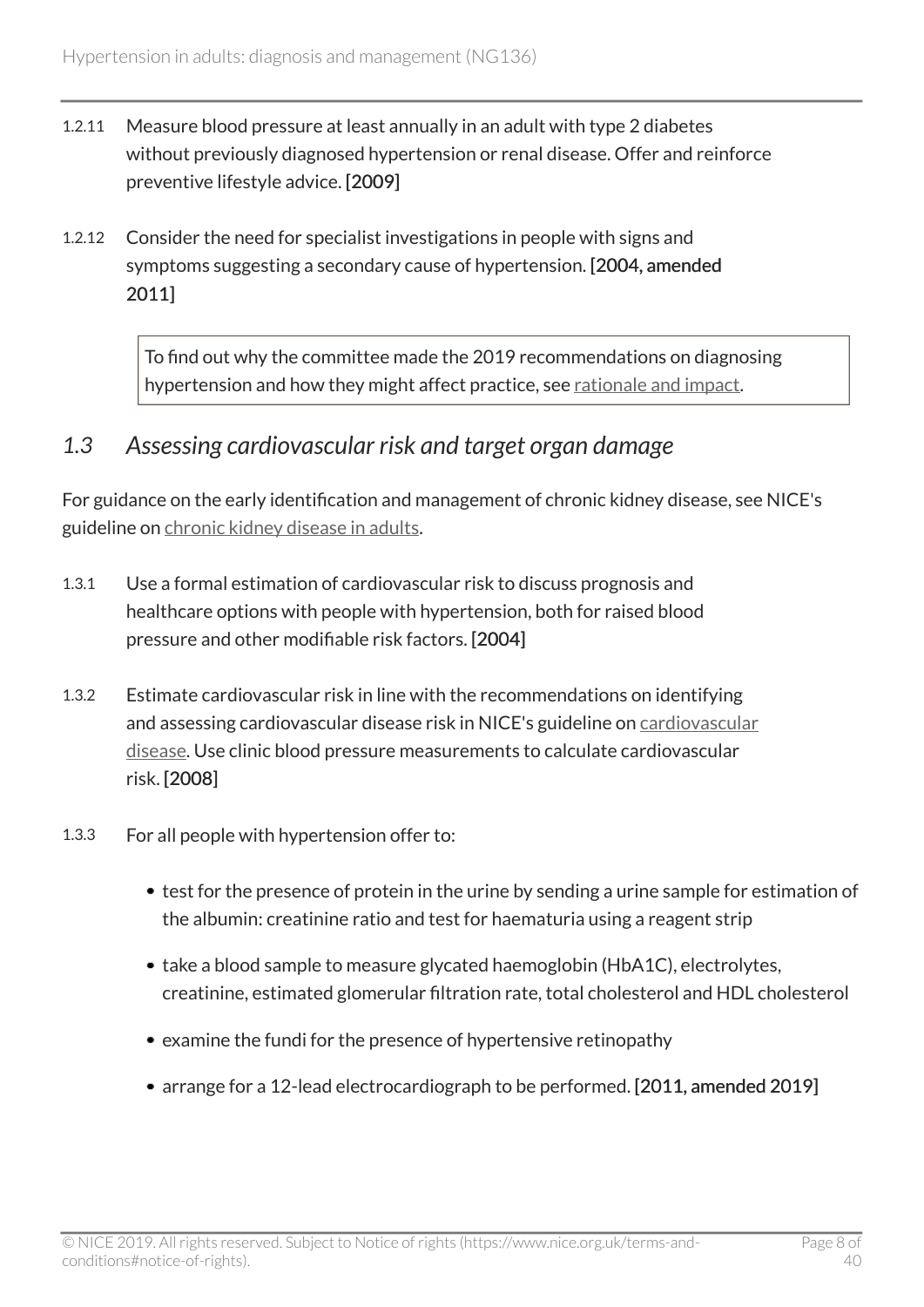- 1.2.11 Measure blood pressure at least annually in an adult with type 2 diabetes without previously diagnosed hypertension or renal disease. Offer and reinforce preventive lifestyle advice. [2009]
- 1.2.12 Consider the need for specialist investigations in people with signs and symptoms suggesting a secondary cause of hypertension. [2004, amended 2011]

To find out why the committee made the 2019 recommendations on diagnosing hypertension and how they might affect practice, see [rationale and impact.](#page-22-1)

### <span id="page-7-0"></span>*1.3 Assessing cardiovascular risk and target organ damage*

For guidance on the early identification and management of chronic kidney disease, see NICE's guideline on [chronic kidney disease in adults](https://www.nice.org.uk/guidance/cg182).

- 1.3.1 Use a formal estimation of cardiovascular risk to discuss prognosis and healthcare options with people with hypertension, both for raised blood pressure and other modifiable risk factors. [2004]
- 1.3.2 Estimate cardiovascular risk in line with the recommendations on identifying and assessing cardiovascular disease risk in NICE's guideline on [cardiovascular](https://www.nice.org.uk/guidance/cg181) [disease](https://www.nice.org.uk/guidance/cg181). Use clinic blood pressure measurements to calculate cardiovascular risk. [2008]
- 1.3.3 For all people with hypertension offer to:
	- test for the presence of protein in the urine by sending a urine sample for estimation of the albumin: creatinine ratio and test for haematuria using a reagent strip
	- take a blood sample to measure glycated haemoglobin (HbA1C), electrolytes, creatinine, estimated glomerular filtration rate, total cholesterol and HDL cholesterol
	- examine the fundi for the presence of hypertensive retinopathy
	- arrange for a 12-lead electrocardiograph to be performed. [2011, amended 2019]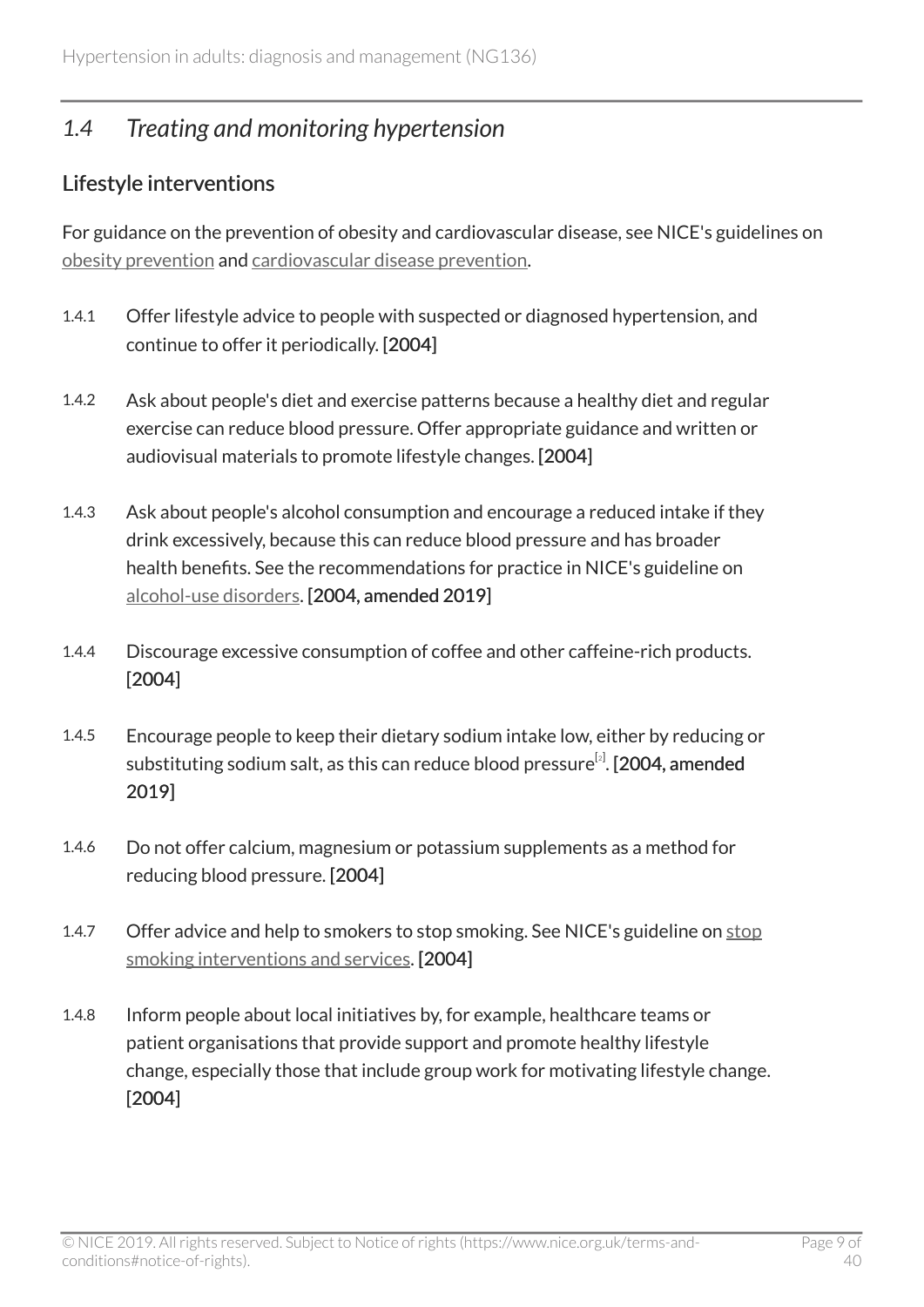# <span id="page-8-0"></span>*1.4 Treating and monitoring hypertension*

### <span id="page-8-1"></span>Lifestyle interventions

For guidance on the prevention of obesity and cardiovascular disease, see NICE's guidelines on [obesity prevention](https://www.nice.org.uk/guidance/cg43) and [cardiovascular disease prevention.](https://www.nice.org.uk/guidance/ph25)

- 1.4.1 Offer lifestyle advice to people with suspected or diagnosed hypertension, and continue to offer it periodically. [2004]
- 1.4.2 Ask about people's diet and exercise patterns because a healthy diet and regular exercise can reduce blood pressure. Offer appropriate guidance and written or audiovisual materials to promote lifestyle changes. [2004]
- 1.4.3 Ask about people's alcohol consumption and encourage a reduced intake if they drink excessively, because this can reduce blood pressure and has broader health benefits. See the recommendations for practice in NICE's guideline on [alcohol-use disorders](https://www.nice.org.uk/guidance/ph24/chapter/1-Recommendations#recommendations-for-practice). [2004, amended 2019]
- 1.4.4 Discourage excessive consumption of coffee and other caffeine-rich products. [2004]
- <span id="page-8-2"></span>1.4.5 Encourage people to keep their dietary sodium intake low, either by reducing or substituting sodium salt, as this can reduce blood pressure $^{\lbrack\mathfrak{z}\rbrack}.$  [[2](#page-18-2)004, amended 2019]
- 1.4.6 Do not offer calcium, magnesium or potassium supplements as a method for reducing blood pressure. [2004]
- 1.4.7 Offer advice and help to smokers to [stop](https://www.nice.org.uk/guidance/ng92) smoking. See NICE's guideline on stop [smoking interventions and services.](https://www.nice.org.uk/guidance/ng92) [2004]
- 1.4.8 Inform people about local initiatives by, for example, healthcare teams or patient organisations that provide support and promote healthy lifestyle change, especially those that include group work for motivating lifestyle change. [2004]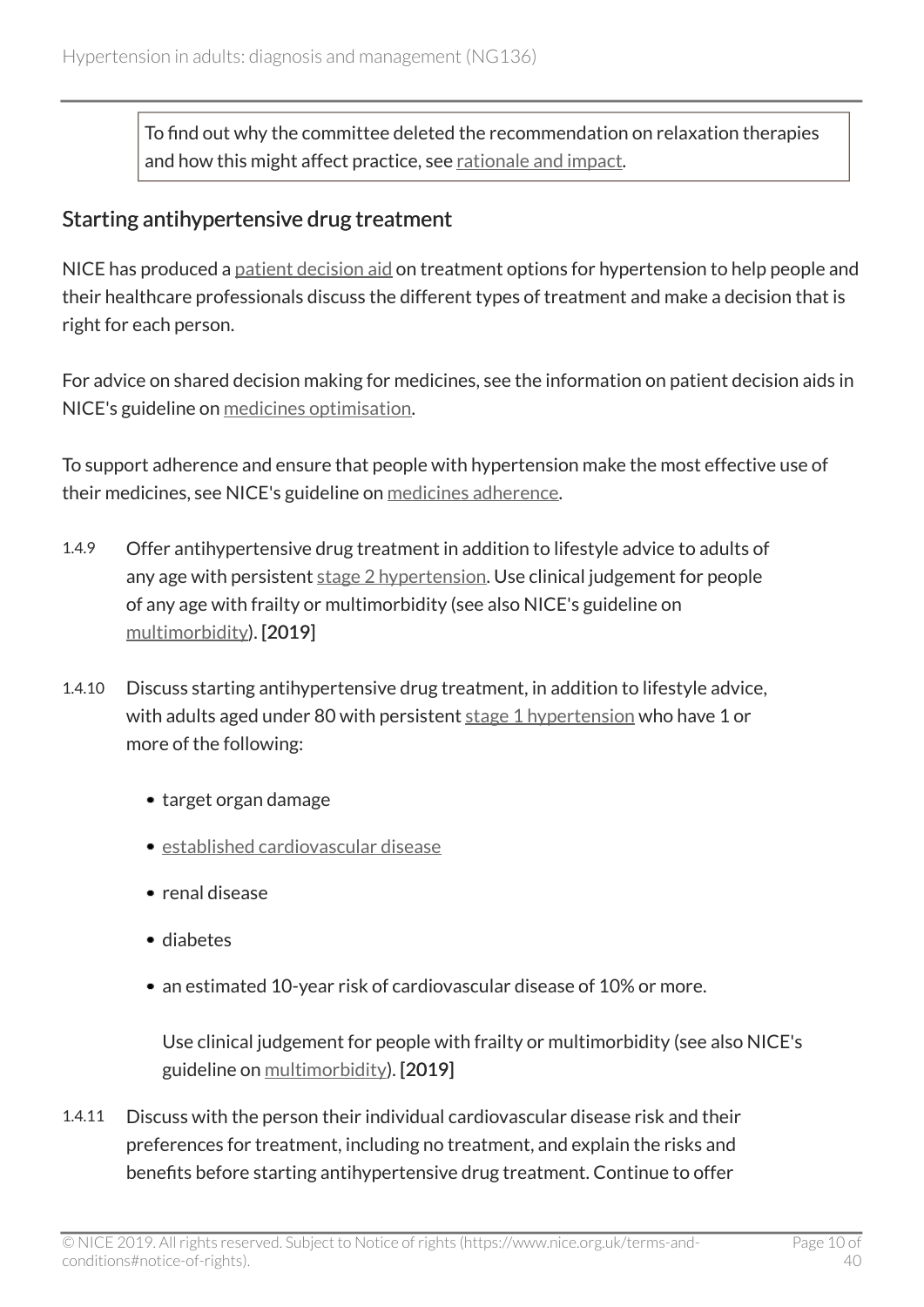To find out why the committee deleted the recommendation on relaxation therapies and how this might affect practice, see [rationale and impact](#page-23-0).

#### <span id="page-9-0"></span>Starting antihypertensive drug treatment

NICE has produced a [patient decision aid](http://www.nice.org.uk/guidance/NG136/resources) on treatment options for hypertension to help people and their healthcare professionals discuss the different types of treatment and make a decision that is right for each person.

For advice on shared decision making for medicines, see the information on patient decision aids in NICE's guideline on [medicines optimisation](https://www.nice.org.uk/guidance/ng5).

To support adherence and ensure that people with hypertension make the most effective use of their medicines, see NICE's guideline on [medicines adherence](https://www.nice.org.uk/guidance/cg76).

- 1.4.9 Offer antihypertensive drug treatment in addition to lifestyle advice to adults of any age with persistent stage [2 hypertension](#page-18-3). Use clinical judgement for people of any age with frailty or multimorbidity (see also NICE's guideline on [multimorbidity\)](https://www.nice.org.uk/guidance/ng56). [2019]
- 1.4.10 Discuss starting antihypertensive drug treatment, in addition to lifestyle advice, with adults aged under 80 with persistent stage [1 hypertension](#page-18-4) who have 1 or more of the following:
	- target organ damage
	- [established cardiovascular disease](#page-17-1)
	- renal disease
	- diabetes
	- an estimated 10-year risk of cardiovascular disease of 10% or more.

Use clinical judgement for people with frailty or multimorbidity (see also NICE's guideline on [multimorbidity](https://www.nice.org.uk/guidance/ng56)). [2019]

1.4.11 Discuss with the person their individual cardiovascular disease risk and their preferences for treatment, including no treatment, and explain the risks and benefits before starting antihypertensive drug treatment. Continue to offer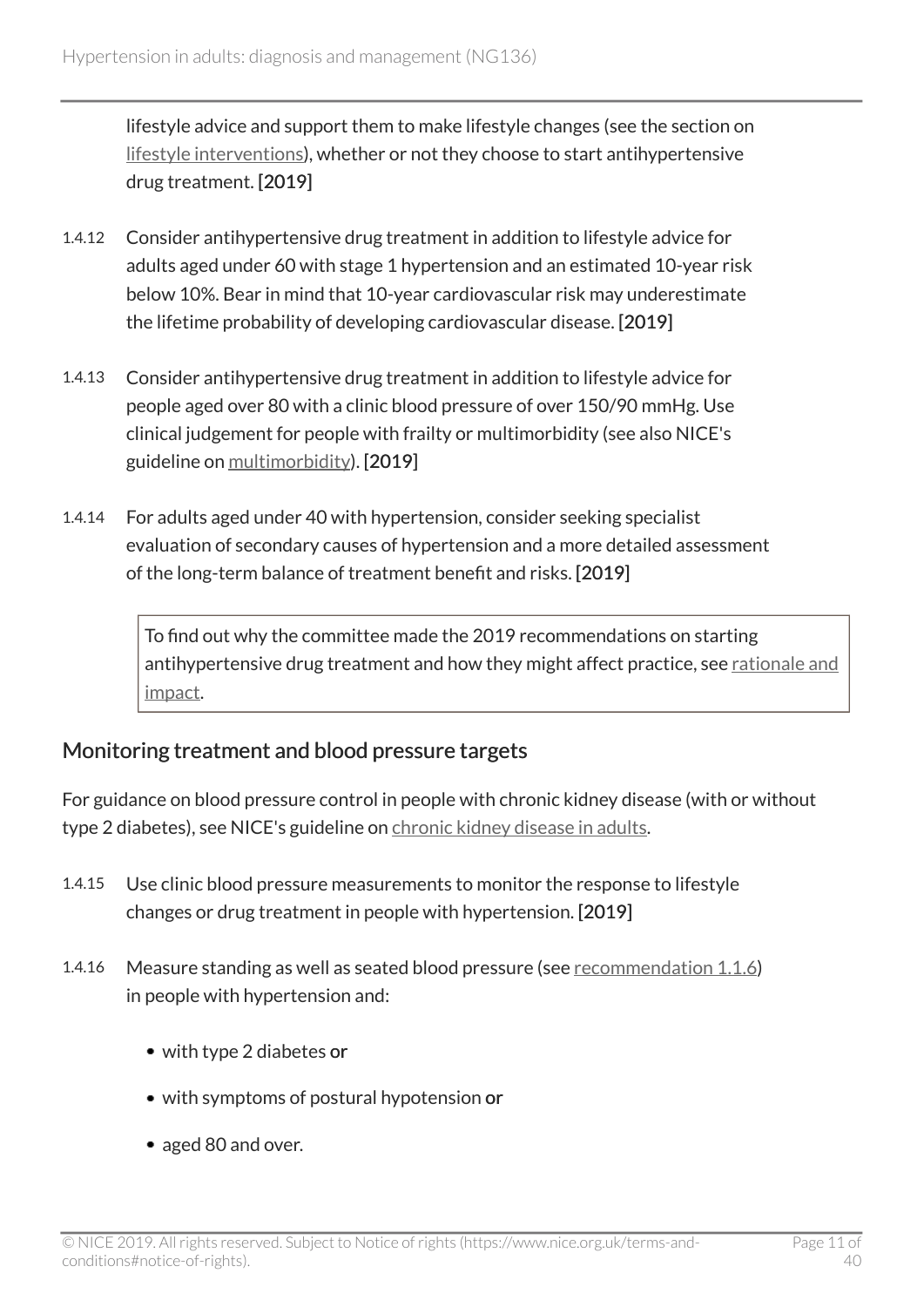lifestyle advice and support them to make lifestyle changes (see the section on [lifestyle interventions\)](#page-8-1), whether or not they choose to start antihypertensive drug treatment. [2019]

- 1.4.12 Consider antihypertensive drug treatment in addition to lifestyle advice for adults aged under 60 with stage 1 hypertension and an estimated 10-year risk below 10%. Bear in mind that 10-year cardiovascular risk may underestimate the lifetime probability of developing cardiovascular disease. [2019]
- 1.4.13 Consider antihypertensive drug treatment in addition to lifestyle advice for people aged over 80 with a clinic blood pressure of over 150/90 mmHg. Use clinical judgement for people with frailty or multimorbidity (see also NICE's guideline on [multimorbidity\)](https://www.nice.org.uk/guidance/ng56). [2019]
- 1.4.14 For adults aged under 40 with hypertension, consider seeking specialist evaluation of secondary causes of hypertension and a more detailed assessment of the long-term balance of treatment benefit and risks. [2019]

To find out why the committee made the 2019 recommendations on starting antihypertensive drug treatment and how they might affect practice, see [rationale and](#page-24-0) [impact.](#page-24-0)

### <span id="page-10-0"></span>Monitoring treatment and blood pressure targets

For guidance on blood pressure control in people with chronic kidney disease (with or without type 2 diabetes), see NICE's guideline on [chronic kidney disease in adults.](https://www.nice.org.uk/guidance/cg182)

- 1.4.15 Use clinic blood pressure measurements to monitor the response to lifestyle changes or drug treatment in people with hypertension. [2019]
- 1.4.16 Measure standing as well as seated blood pressure (see [recommendation 1.1.6](#page-4-1)) in people with hypertension and:
	- with type 2 diabetes or
	- with symptoms of postural hypotension or
	- aged 80 and over.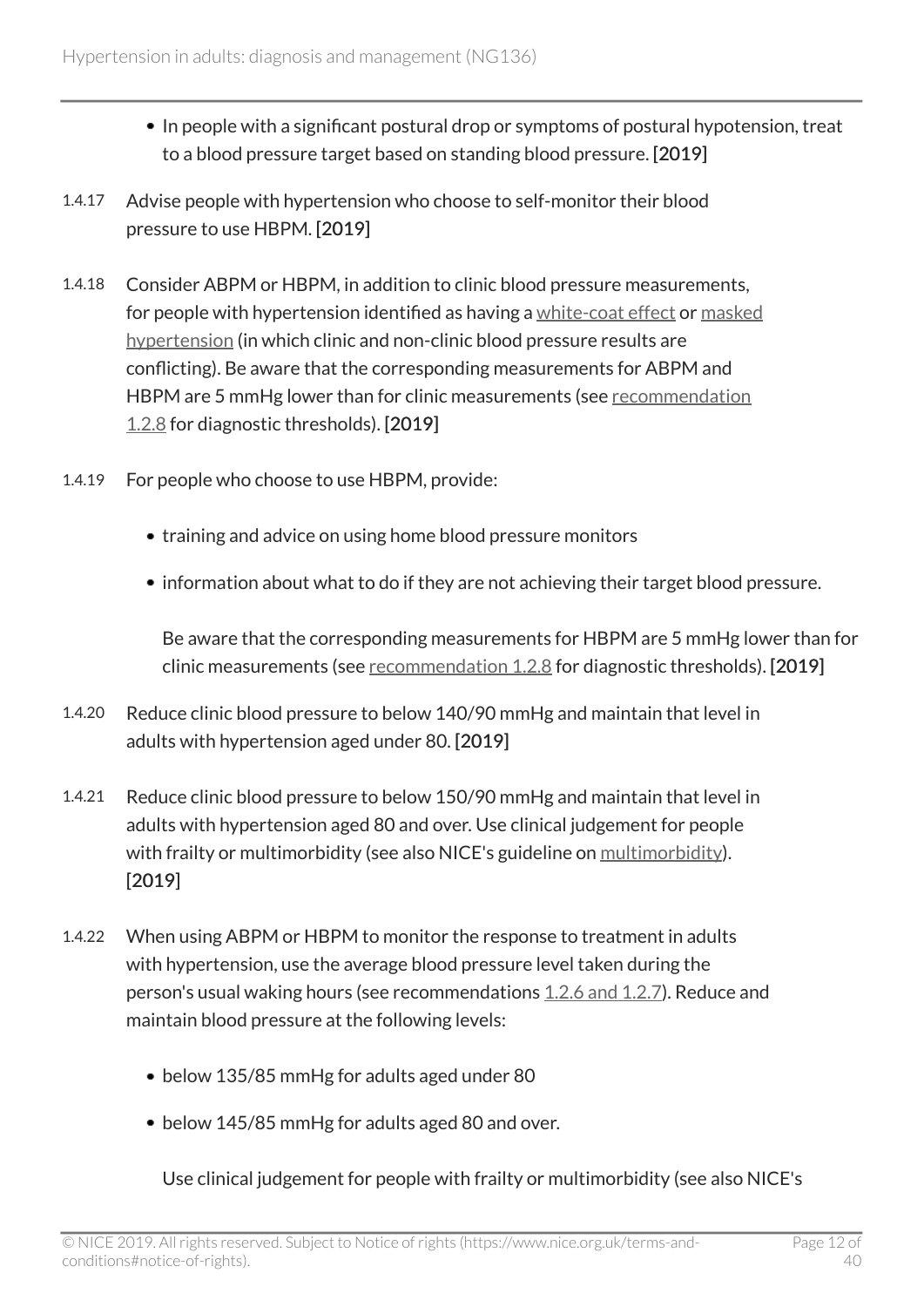- In people with a significant postural drop or symptoms of postural hypotension, treat to a blood pressure target based on standing blood pressure. [2019]
- 1.4.17 Advise people with hypertension who choose to self-monitor their blood pressure to use HBPM. [2019]
- 1.4.18 Consider ABPM or HBPM, in addition to clinic blood pressure measurements, for people with hypertension identified as having a [white-coat effect](#page-18-5) or [masked](#page-17-2) [hypertension](#page-17-2) (in which clinic and non-clinic blood pressure results are conflicting). Be aware that the corresponding measurements for ABPM and HBPM are 5 mmHg lower than for clinic measurements (see [recommendation](#page-5-0) [1.2.8](#page-5-0) for diagnostic thresholds). [2019]
- 1.4.19 For people who choose to use HBPM, provide:
	- training and advice on using home blood pressure monitors
	- information about what to do if they are not achieving their target blood pressure.

Be aware that the corresponding measurements for HBPM are 5 mmHg lower than for clinic measurements (see [recommendation 1.2.8](#page-5-0) for diagnostic thresholds). [2019]

- 1.4.20 Reduce clinic blood pressure to below 140/90 mmHg and maintain that level in adults with hypertension aged under 80. [2019]
- 1.4.21 Reduce clinic blood pressure to below 150/90 mmHg and maintain that level in adults with hypertension aged 80 and over. Use clinical judgement for people with frailty or multimorbidity (see also NICE's guideline on [multimorbidity\)](https://www.nice.org.uk/guidance/ng56). [2019]
- 1.4.22 When using ABPM or HBPM to monitor the response to treatment in adults with hypertension, use the average blood pressure level taken during the person's usual waking hours (see recommendations [1.2.6 and 1.2.7\)](#page-5-0). Reduce and maintain blood pressure at the following levels:
	- below 135/85 mmHg for adults aged under 80
	- below 145/85 mmHg for adults aged 80 and over.

Use clinical judgement for people with frailty or multimorbidity (see also NICE's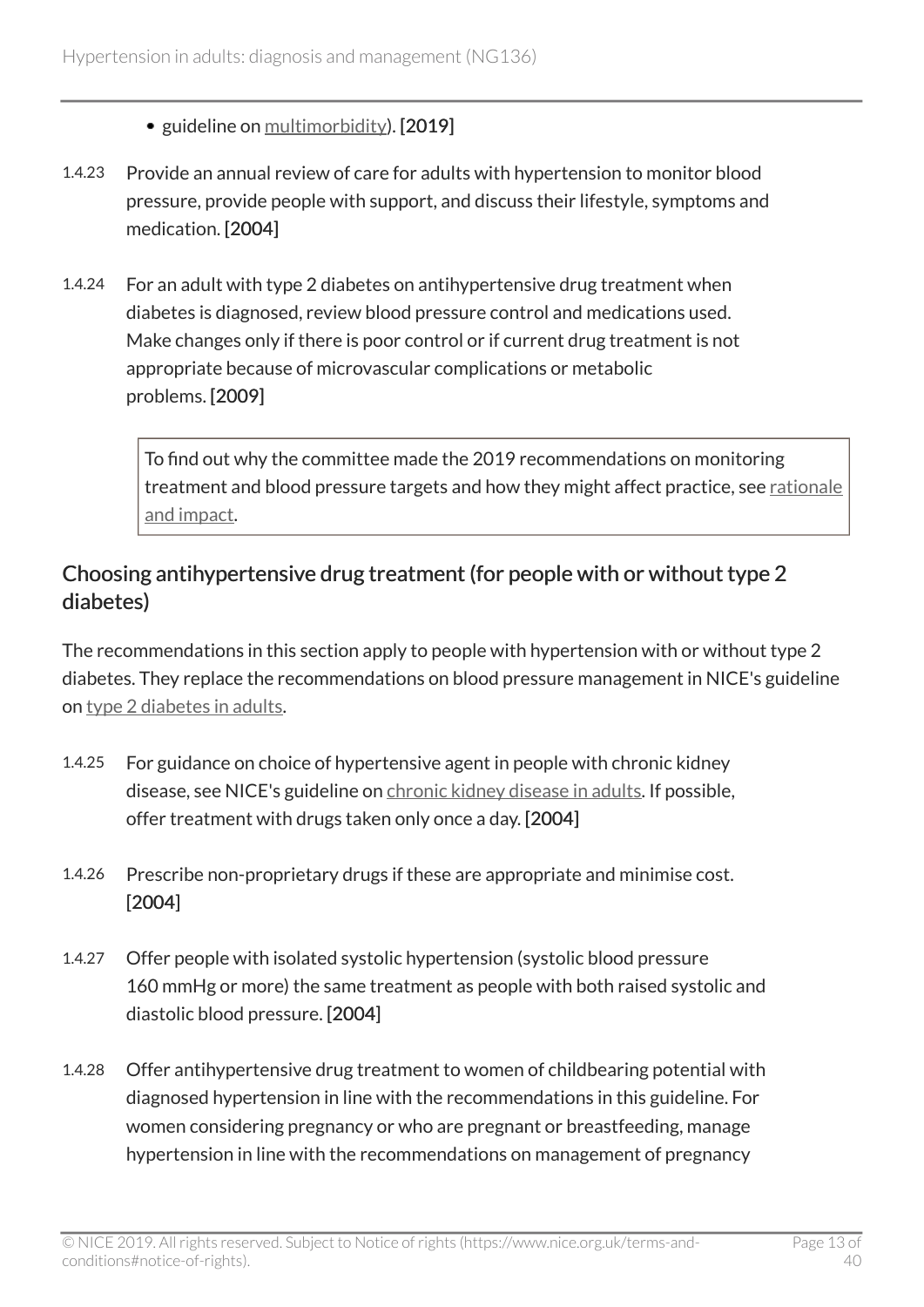• guideline on [multimorbidity](https://www.nice.org.uk/guidance/ng56)). [2019]

- 1.4.23 Provide an annual review of care for adults with hypertension to monitor blood pressure, provide people with support, and discuss their lifestyle, symptoms and medication. [2004]
- 1.4.24 For an adult with type 2 diabetes on antihypertensive drug treatment when diabetes is diagnosed, review blood pressure control and medications used. Make changes only if there is poor control or if current drug treatment is not appropriate because of microvascular complications or metabolic problems. [2009]

To find out why the committee made the 2019 recommendations on monitoring treatment and blood pressure targets and how they might affect practice, see [rationale](#page-27-0) [and impact.](#page-27-0)

### Choosing antihypertensive drug treatment (for people with or without type 2 diabetes)

The recommendations in this section apply to people with hypertension with or without type 2 diabetes. They replace the recommendations on blood pressure management in NICE's guideline on type [2 diabetes in adults](https://www.nice.org.uk/guidance/ng28).

- 1.4.25 For guidance on choice of hypertensive agent in people with chronic kidney disease, see NICE's guideline on [chronic kidney disease in adults](https://www.nice.org.uk/guidance/cg182). If possible, offer treatment with drugs taken only once a day. [2004]
- 1.4.26 Prescribe non-proprietary drugs if these are appropriate and minimise cost. [2004]
- 1.4.27 Offer people with isolated systolic hypertension (systolic blood pressure 160 mmHg or more) the same treatment as people with both raised systolic and diastolic blood pressure. [2004]
- 1.4.28 Offer antihypertensive drug treatment to women of childbearing potential with diagnosed hypertension in line with the recommendations in this guideline. For women considering pregnancy or who are pregnant or breastfeeding, manage hypertension in line with the recommendations on management of pregnancy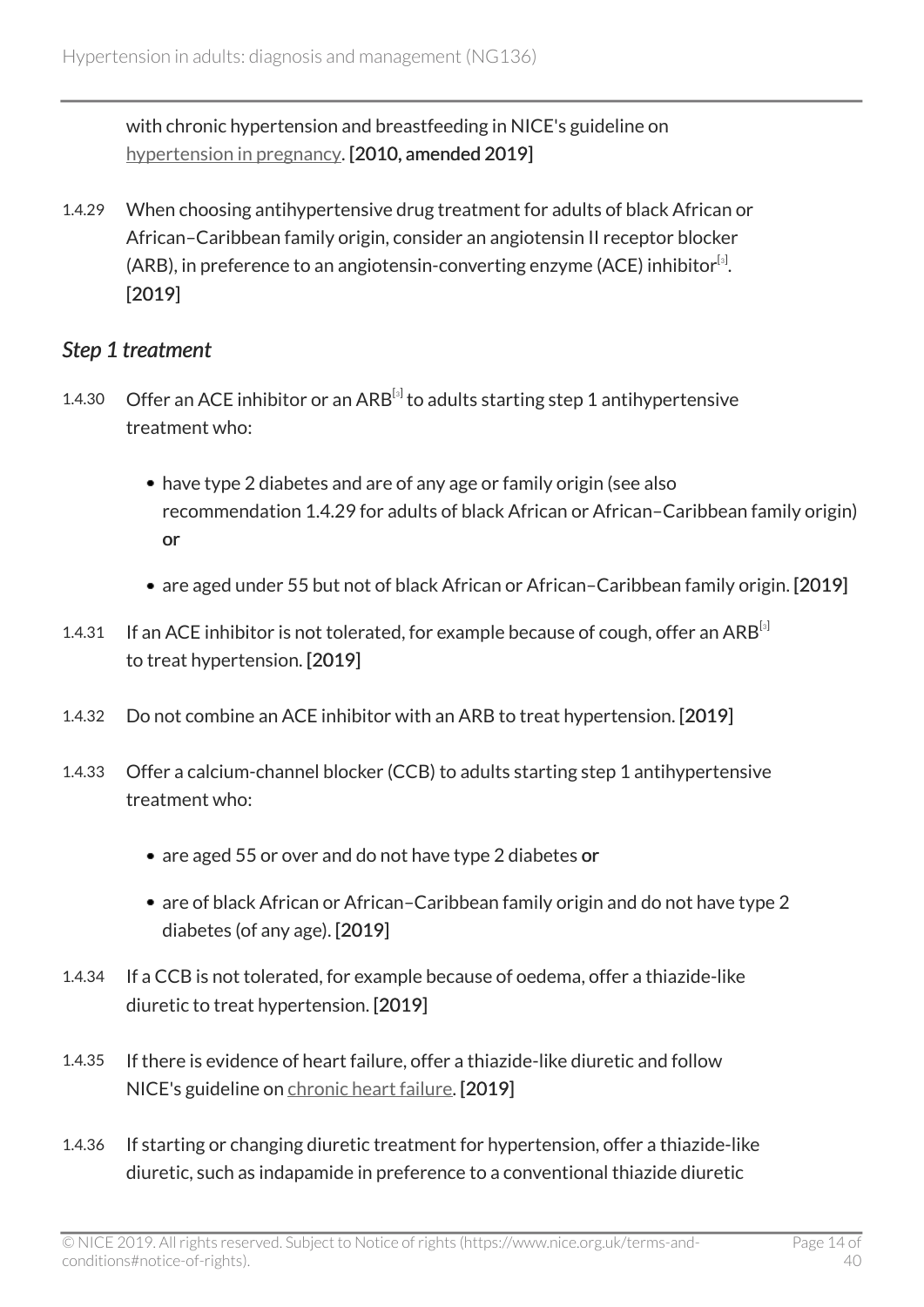with chronic hypertension and breastfeeding in NICE's guideline on [hypertension in pregnancy](https://www.nice.org.uk/guidance/ng133). [2010, amended 2019]

<span id="page-13-1"></span>1.4.29 When choosing antihypertensive drug treatment for adults of black African or African–Caribbean family origin, consider an angiotensin II receptor blocker  $(ARB)$ , in preference to an angiotensin-converting enzyme (ACE) inhibitor $^{[s]}$ . [2019]

#### <span id="page-13-0"></span>*Step 1 treatment*

- 1.4.[3](#page-18-6)0 Offer an ACE inhibitor or an ARB $^{[s]}$  to adults starting step 1 antihypertensive treatment who:
	- have type 2 diabetes and are of any age or family origin (see also recommendation 1.4.29 for adults of black African or African–Caribbean family origin) or
	- are aged under 55 but not of black African or African–Caribbean family origin. [2019]
- 1.4.[3](#page-18-6)1 If an ACE inhibitor is not tolerated, for example because of cough, offer an ARB $^{[3]}$ to treat hypertension. [2019]
- 1.4.32 Do not combine an ACE inhibitor with an ARB to treat hypertension. [2019]
- 1.4.33 Offer a calcium-channel blocker (CCB) to adults starting step 1 antihypertensive treatment who:
	- are aged 55 or over and do not have type 2 diabetes or
	- are of black African or African-Caribbean family origin and do not have type 2 diabetes (of any age). [2019]
- 1.4.34 If a CCB is not tolerated, for example because of oedema, offer a thiazide-like diuretic to treat hypertension. [2019]
- 1.4.35 If there is evidence of heart failure, offer a thiazide-like diuretic and follow NICE's guideline on [chronic heart failure.](https://www.nice.org.uk/guidance/ng106) [2019]
- 1.4.36 If starting or changing diuretic treatment for hypertension, offer a thiazide-like diuretic, such as indapamide in preference to a conventional thiazide diuretic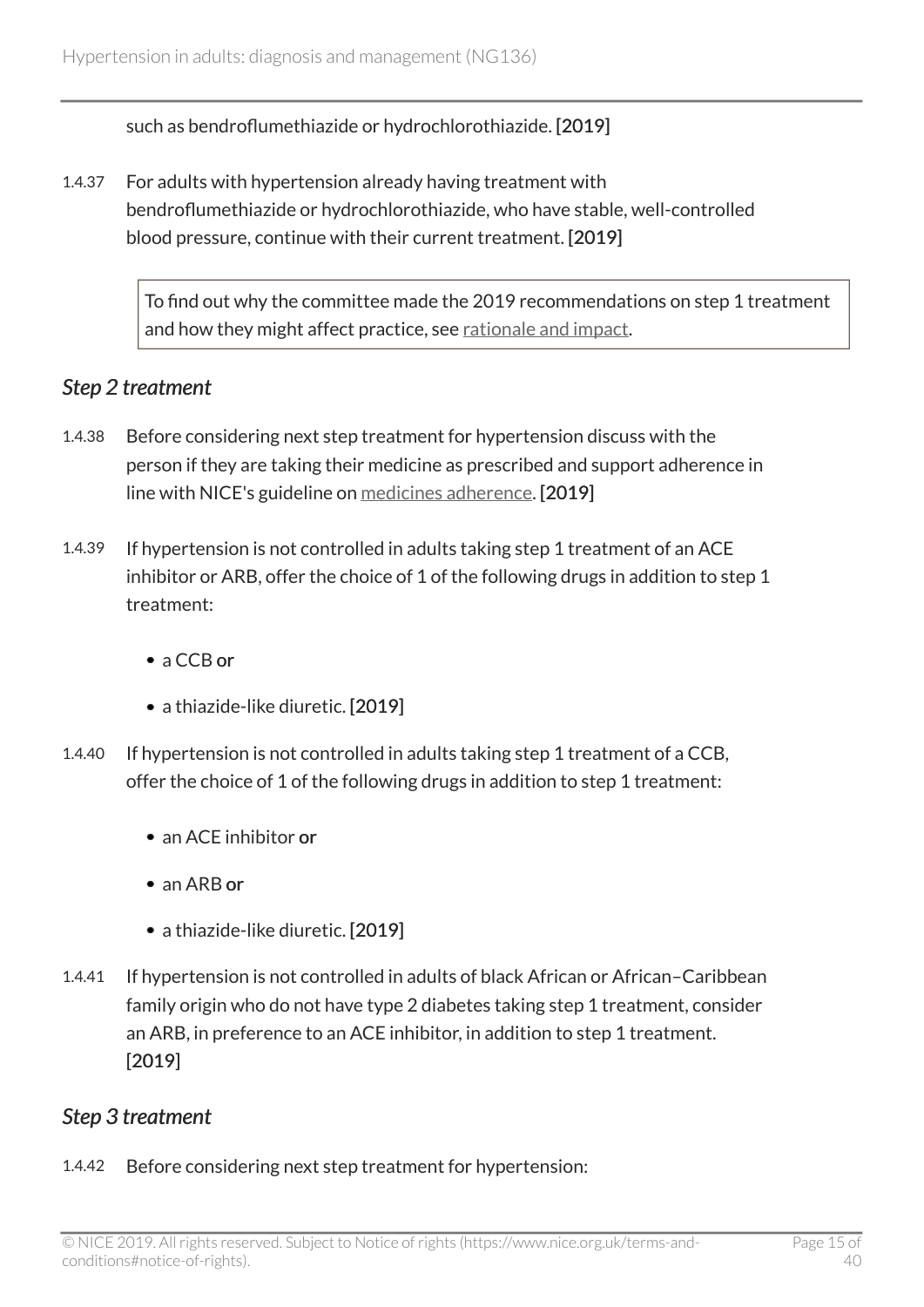such as bendroflumethiazide or hydrochlorothiazide. [2019]

1.4.37 For adults with hypertension already having treatment with bendroflumethiazide or hydrochlorothiazide, who have stable, well-controlled blood pressure, continue with their current treatment. [2019]

> To find out why the committee made the 2019 recommendations on step 1 treatment and how they might affect practice, see [rationale and impact](#page-30-0).

#### <span id="page-14-0"></span>*Step 2 treatment*

- 1.4.38 Before considering next step treatment for hypertension discuss with the person if they are taking their medicine as prescribed and support adherence in line with NICE's guideline on [medicines adherence](https://www.nice.org.uk/guidance/cg76). [2019]
- 1.4.39 If hypertension is not controlled in adults taking step 1 treatment of an ACE inhibitor or ARB, offer the choice of 1 of the following drugs in addition to step 1 treatment:
	- a CCB or
	- a thiazide-like diuretic. [2019]
- 1.4.40 If hypertension is not controlled in adults taking step 1 treatment of a CCB, offer the choice of 1 of the following drugs in addition to step 1 treatment:
	- an ACF inhibitor or
	- an ARB or
	- a thiazide-like diuretic. [2019]
- 1.4.41 If hypertension is not controlled in adults of black African or African–Caribbean family origin who do not have type 2 diabetes taking step 1 treatment, consider an ARB, in preference to an ACE inhibitor, in addition to step 1 treatment. [2019]

#### *Step 3 treatment*

1.4.42 Before considering next step treatment for hypertension: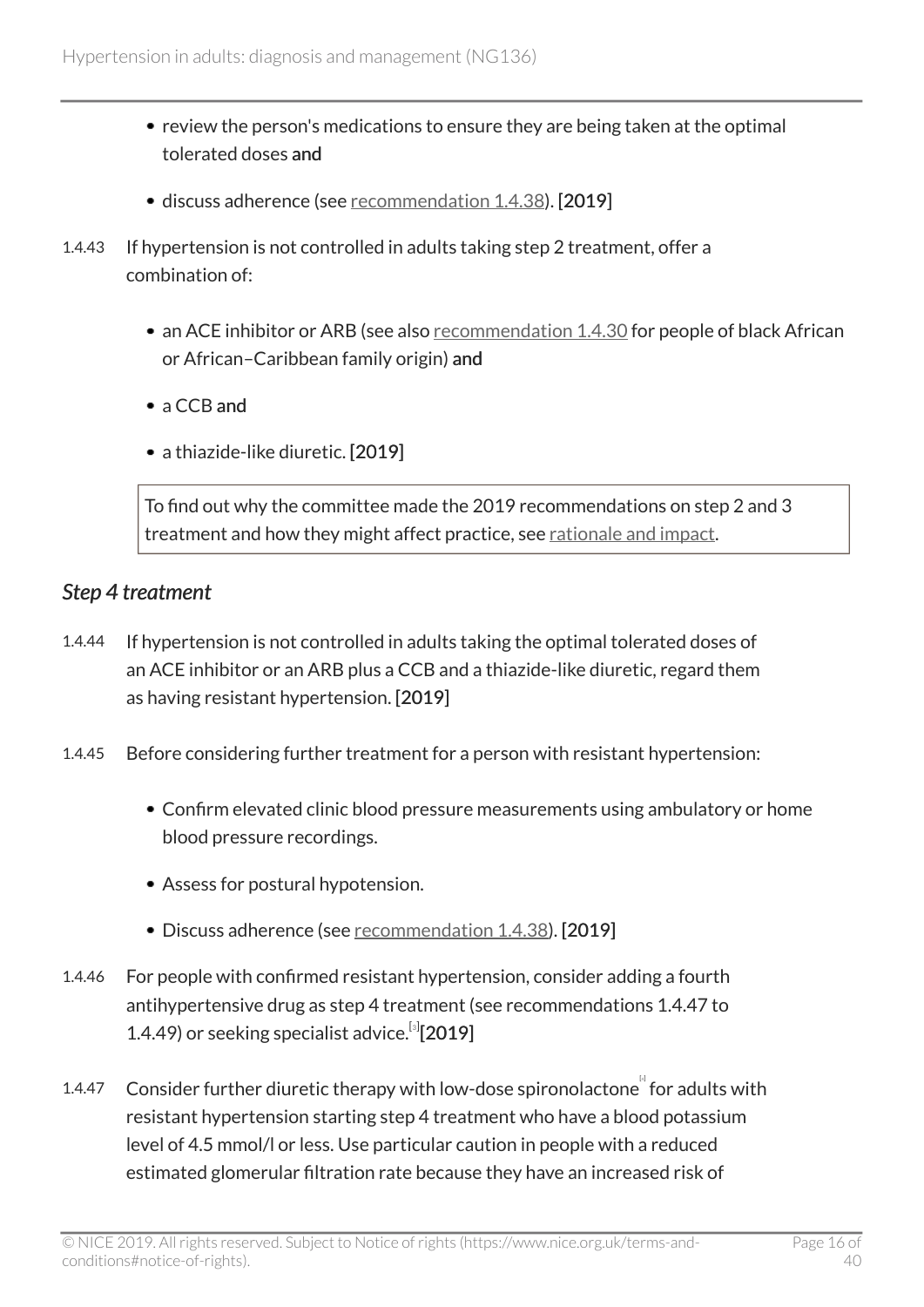- review the person's medications to ensure they are being taken at the optimal tolerated doses and
- discuss adherence (see [recommendation](#page-14-0) 1.4.38). [2019]
- 1.4.43 If hypertension is not controlled in adults taking step 2 treatment, offer a combination of:
	- an ACE inhibitor or ARB (see also [recommendation](#page-13-0) 1.4.30 for people of black African or African–Caribbean family origin) and
	- a CCB and
	- a thiazide-like diuretic. [2019]

To find out why the committee made the 2019 recommendations on step 2 and 3 treatment and how they might affect practice, see [rationale and impact.](#page-32-0)

#### <span id="page-15-1"></span>*Step 4 treatment*

- 1.4.44 If hypertension is not controlled in adults taking the optimal tolerated doses of an ACE inhibitor or an ARB plus a CCB and a thiazide-like diuretic, regard them as having resistant hypertension. [2019]
- 1.4.45 Before considering further treatment for a person with resistant hypertension:
	- Confirm elevated clinic blood pressure measurements using ambulatory or home blood pressure recordings.
	- Assess for postural hypotension.
	- Discuss adherence (see [recommendation](#page-14-0) 1.4.38). [2019]
- 1.4.46 For people with confirmed resistant hypertension, consider adding a fourth antihypertensive drug as step 4 treatment (see recommendations 1.4.47 to 1.4.49) or seeking specialist advice.<sup>[[3](#page-18-6)]</sup>[2019]
- <span id="page-15-0"></span>1.[4](#page-19-0).47 Consider further diuretic therapy with low-dose spironolactone for adults with resistant hypertension starting step 4 treatment who have a blood potassium level of 4.5 mmol/l or less. Use particular caution in people with a reduced estimated glomerular filtration rate because they have an increased risk of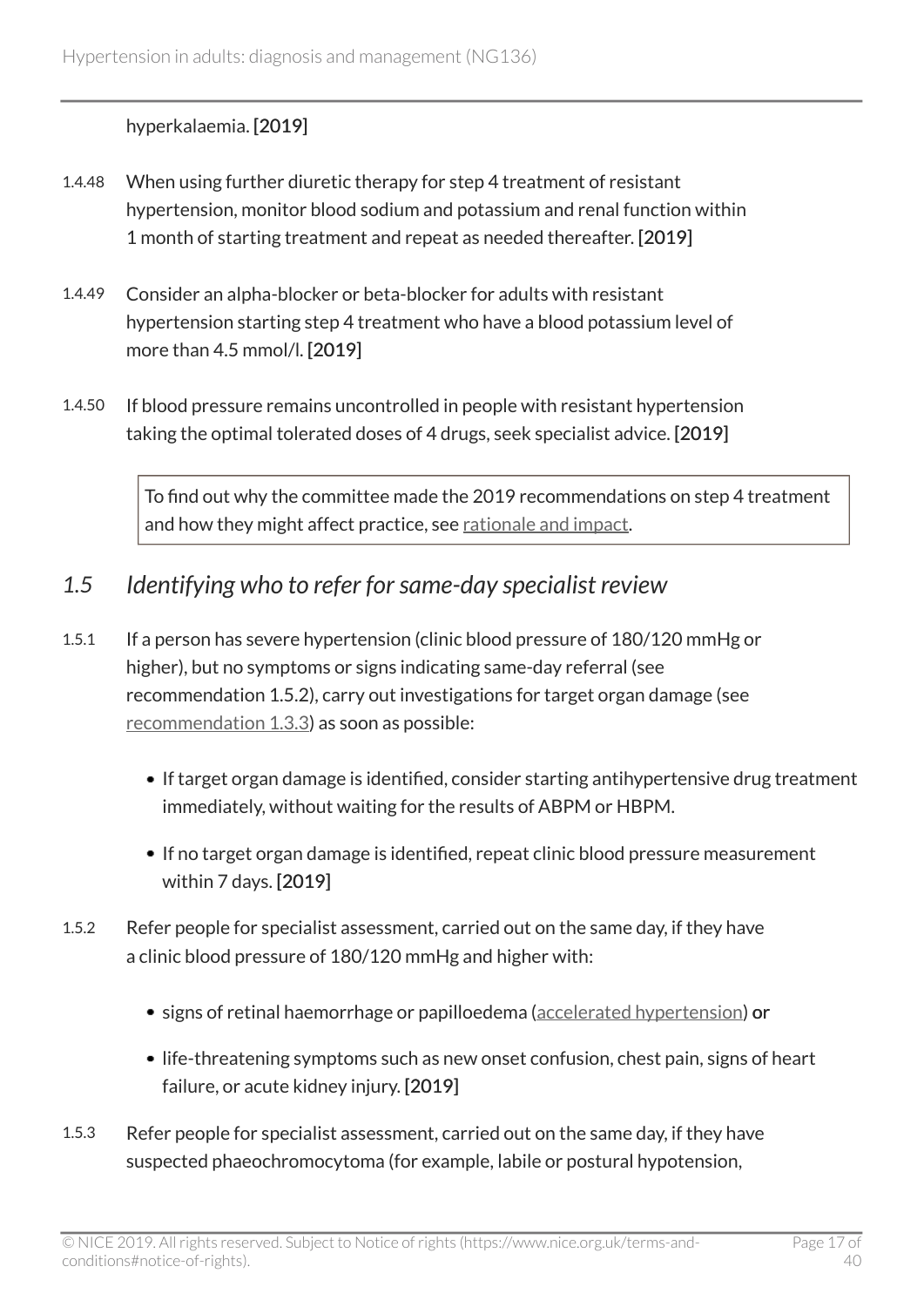#### hyperkalaemia. [2019]

- 1.4.48 When using further diuretic therapy for step 4 treatment of resistant hypertension, monitor blood sodium and potassium and renal function within 1 month of starting treatment and repeat as needed thereafter. [2019]
- 1.4.49 Consider an alpha-blocker or beta-blocker for adults with resistant hypertension starting step 4 treatment who have a blood potassium level of more than 4.5 mmol/l. [2019]
- 1.4.50 If blood pressure remains uncontrolled in people with resistant hypertension taking the optimal tolerated doses of 4 drugs, seek specialist advice. [2019]

To find out why the committee made the 2019 recommendations on step 4 treatment and how they might affect practice, see [rationale and impact](#page-33-0).

### <span id="page-16-0"></span>*1.5 Identifying who to refer for same-day specialist review*

- 1.5.1 If a person has severe hypertension (clinic blood pressure of 180/120 mmHg or higher), but no symptoms or signs indicating same-day referral (see recommendation 1.5.2), carry out investigations for target organ damage (see [recommendation 1.3.3](#page-7-0)) as soon as possible:
	- If target organ damage is identified, consider starting antihypertensive drug treatment immediately, without waiting for the results of ABPM or HBPM.
	- If no target organ damage is identified, repeat clinic blood pressure measurement within 7 days. [2019]
- 1.5.2 Refer people for specialist assessment, carried out on the same day, if they have a clinic blood pressure of 180/120 mmHg and higher with:
	- signs of retinal haemorrhage or papilloedema ([accelerated hypertension\)](#page-17-3) or
	- life-threatening symptoms such as new onset confusion, chest pain, signs of heart failure, or acute kidney injury. [2019]
- 1.5.3 Refer people for specialist assessment, carried out on the same day, if they have suspected phaeochromocytoma (for example, labile or postural hypotension,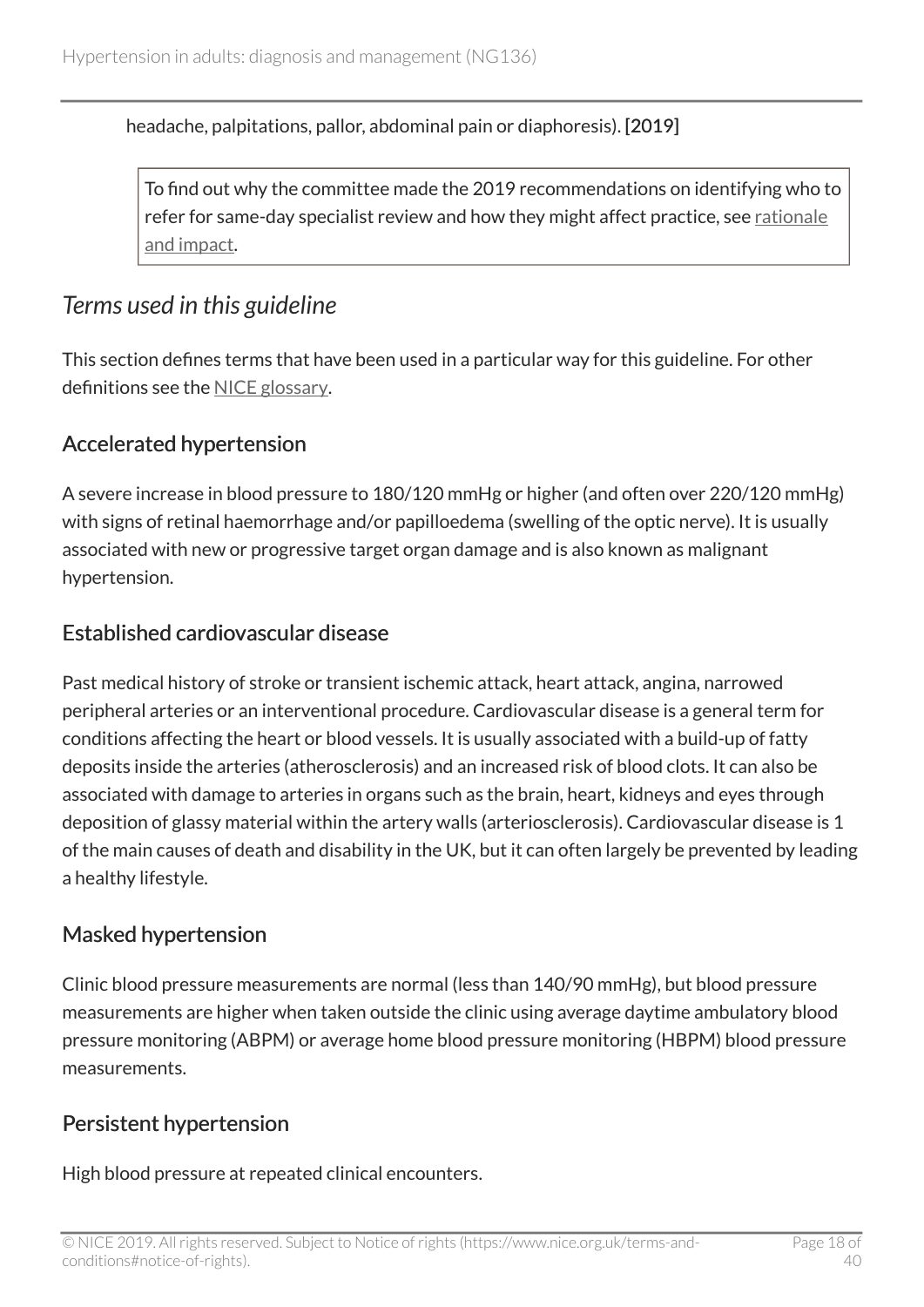headache, palpitations, pallor, abdominal pain or diaphoresis). [2019]

To find out why the committee made the 2019 recommendations on identifying who to refer for same-day specialist review and how they might affect practice, see [rationale](#page-34-0) [and impact.](#page-34-0)

### <span id="page-17-0"></span>*Terms used in this guideline*

This section defines terms that have been used in a particular way for this guideline. For other definitions see the [NICE glossary](https://www.nice.org.uk/Glossary).

### <span id="page-17-3"></span>Accelerated hypertension

A severe increase in blood pressure to 180/120 mmHg or higher (and often over 220/120 mmHg) with signs of retinal haemorrhage and/or papilloedema (swelling of the optic nerve). It is usually associated with new or progressive target organ damage and is also known as malignant hypertension.

#### <span id="page-17-1"></span>Established cardiovascular disease

Past medical history of stroke or transient ischemic attack, heart attack, angina, narrowed peripheral arteries or an interventional procedure. Cardiovascular disease is a general term for conditions affecting the heart or blood vessels. It is usually associated with a build-up of fatty deposits inside the arteries (atherosclerosis) and an increased risk of blood clots. It can also be associated with damage to arteries in organs such as the brain, heart, kidneys and eyes through deposition of glassy material within the artery walls (arteriosclerosis). Cardiovascular disease is 1 of the main causes of death and disability in the UK, but it can often largely be prevented by leading a healthy lifestyle.

### <span id="page-17-2"></span>Masked hypertension

Clinic blood pressure measurements are normal (less than 140/90 mmHg), but blood pressure measurements are higher when taken outside the clinic using average daytime ambulatory blood pressure monitoring (ABPM) or average home blood pressure monitoring (HBPM) blood pressure measurements.

### Persistent hypertension

High blood pressure at repeated clinical encounters.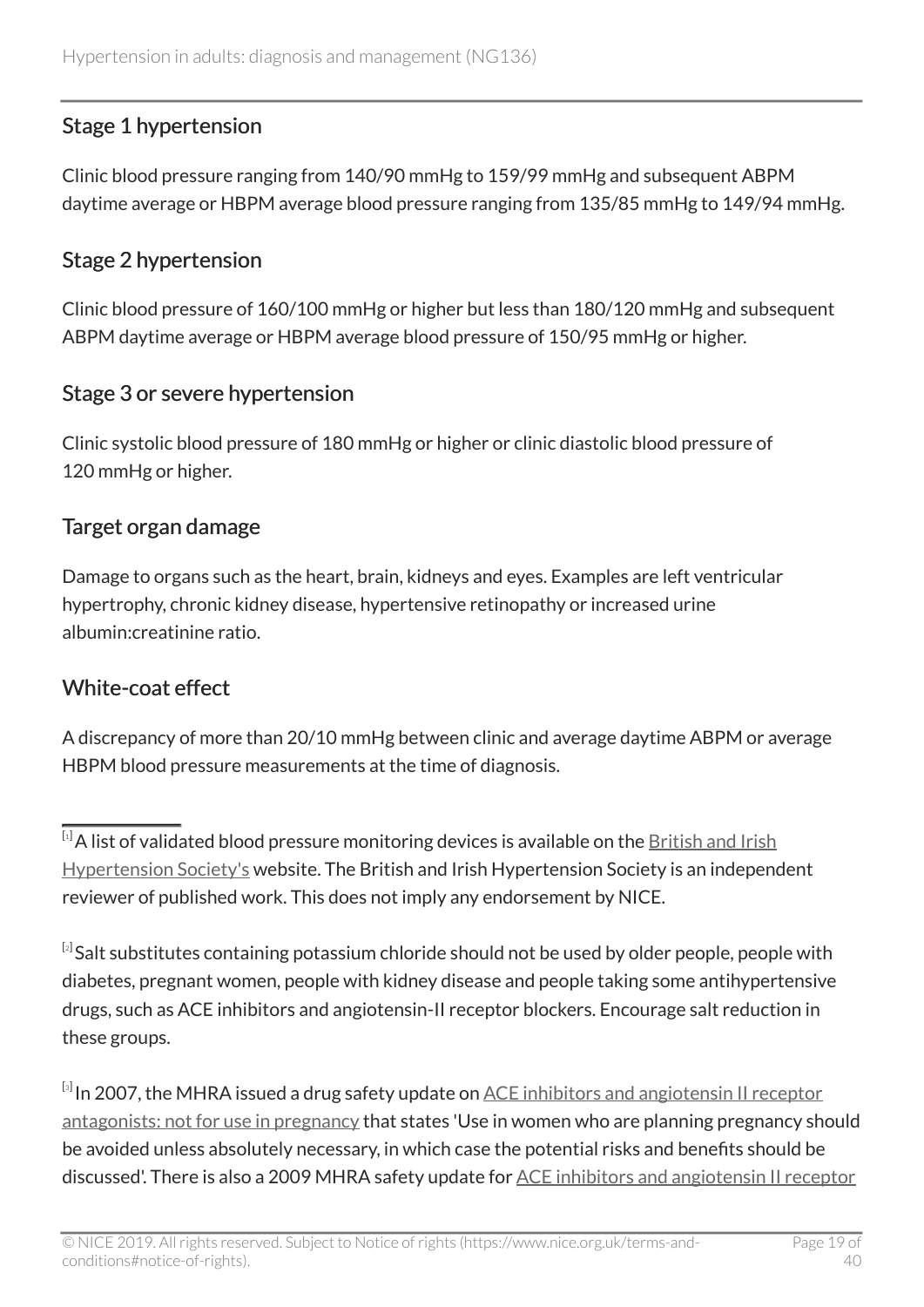### <span id="page-18-4"></span>Stage 1 hypertension

Clinic blood pressure ranging from 140/90 mmHg to 159/99 mmHg and subsequent ABPM daytime average or HBPM average blood pressure ranging from 135/85 mmHg to 149/94 mmHg.

#### <span id="page-18-3"></span>Stage 2 hypertension

Clinic blood pressure of 160/100 mmHg or higher but less than 180/120 mmHg and subsequent ABPM daytime average or HBPM average blood pressure of 150/95 mmHg or higher.

### Stage 3 or severe hypertension

Clinic systolic blood pressure of 180 mmHg or higher or clinic diastolic blood pressure of 120 mmHg or higher.

#### <span id="page-18-1"></span>Target organ damage

Damage to organs such as the heart, brain, kidneys and eyes. Examples are left ventricular hypertrophy, chronic kidney disease, hypertensive retinopathy or increased urine albumin:creatinine ratio.

### <span id="page-18-5"></span>White-coat effect

A discrepancy of more than 20/10 mmHg between clinic and average daytime ABPM or average HBPM blood pressure measurements at the time of diagnosis.

<span id="page-18-6"></span> $^{\text{\tiny{[3]}}}$  $^{\text{\tiny{[3]}}}$  $^{\text{\tiny{[3]}}}$ In 2007, the MHRA issued a drug safety update on <u>[ACE inhibitors and angiotensin II receptor](https://www.gov.uk/drug-safety-update/ace-inhibitors-and-angiotensin-ii-receptor-antagonists-not-for-use-in-pregnancy)</u> [antagonists: not for use in pregnancy](https://www.gov.uk/drug-safety-update/ace-inhibitors-and-angiotensin-ii-receptor-antagonists-not-for-use-in-pregnancy) that states 'Use in women who are planning pregnancy should be avoided unless absolutely necessary, in which case the potential risks and benefits should be discussed'. There is also a 2009 MHRA safety update for [ACE inhibitors and angiotensin II receptor](https://www.gov.uk/drug-safety-update/ace-inhibitors-and-angiotensin-ii-receptor-antagonists-recommendations-on-how-to-use-for-breastfeeding)

<span id="page-18-0"></span> $\overline{^{[1]}}$  $\overline{^{[1]}}$  $\overline{^{[1]}}$ A list of validated blood pressure monitoring devices is available on the **[British and Irish](https://bihsoc.org/)** [Hypertension Society's](https://bihsoc.org/) website. The British and Irish Hypertension Society is an independent reviewer of published work. This does not imply any endorsement by NICE.

<span id="page-18-2"></span> $^{[\imath]}$ Salt substitutes containing potassium chloride should not be used by older people, people with diabetes, pregnant women, people with kidney disease and people taking some antihypertensive drugs, such as ACE inhibitors and angiotensin-II receptor blockers. Encourage salt reduction in these groups.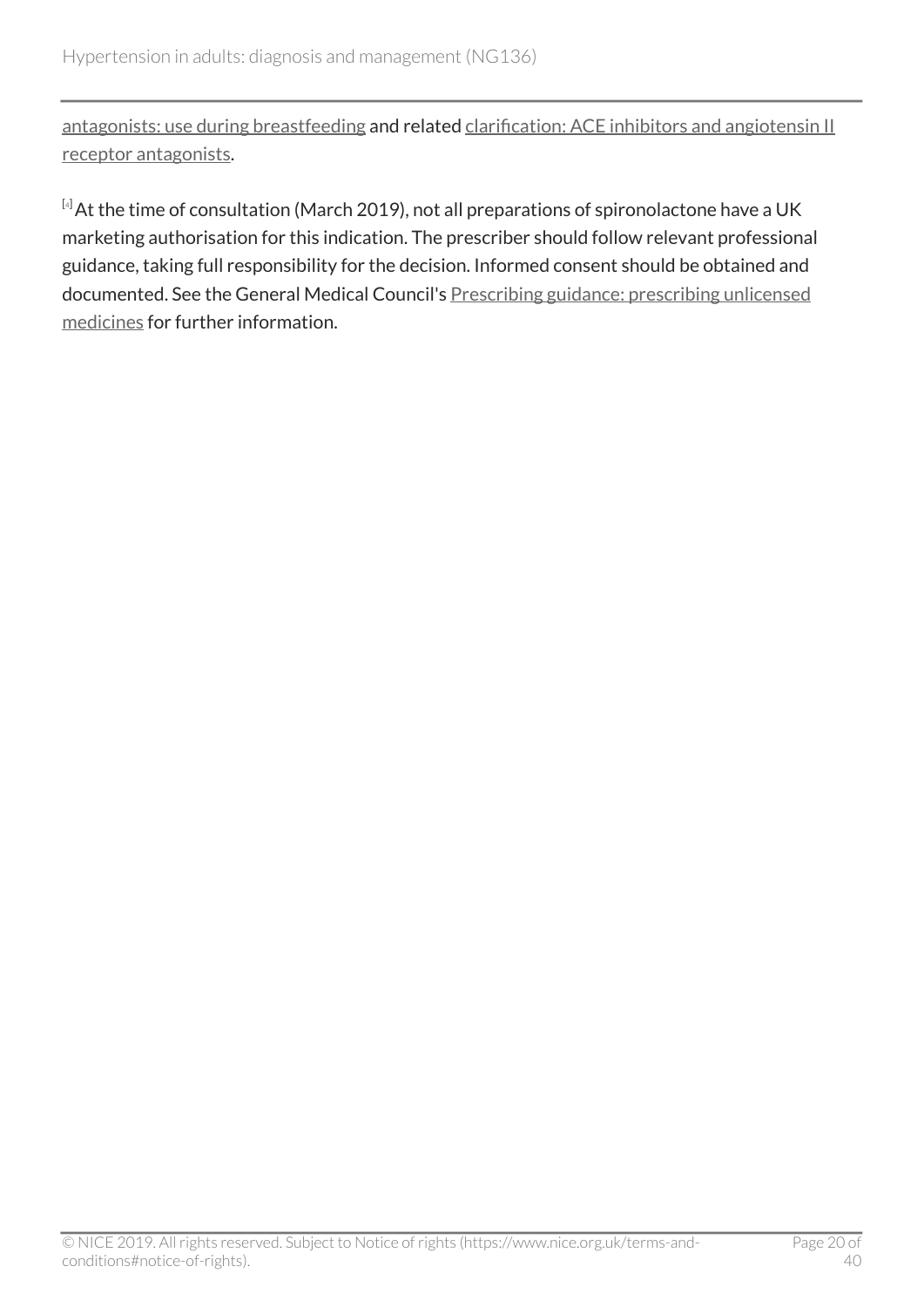[antagonists: use during breastfeeding](https://www.gov.uk/drug-safety-update/ace-inhibitors-and-angiotensin-ii-receptor-antagonists-recommendations-on-how-to-use-for-breastfeeding) and related [clarification: ACE inhibitors and angiotensin II](https://www.gov.uk/drug-safety-update/clarification-ace-inhibitors-and-angiotensin-ii-receptor-antagonists) [receptor antagonists.](https://www.gov.uk/drug-safety-update/clarification-ace-inhibitors-and-angiotensin-ii-receptor-antagonists)

<span id="page-19-0"></span>[[4](#page-15-0)] At the time of consultation (March 2019), not all preparations of spironolactone have a UK marketing authorisation for this indication. The prescriber should follow relevant professional guidance, taking full responsibility for the decision. Informed consent should be obtained and documented. See the General Medical Council's [Prescribing guidance: prescribing unlicensed](https://www.gmc-uk.org/ethical-guidance/ethical-guidance-for-doctors/prescribing-and-managing-medicines-and-devices/prescribing-unlicensed-medicines) [medicines](https://www.gmc-uk.org/ethical-guidance/ethical-guidance-for-doctors/prescribing-and-managing-medicines-and-devices/prescribing-unlicensed-medicines) for further information.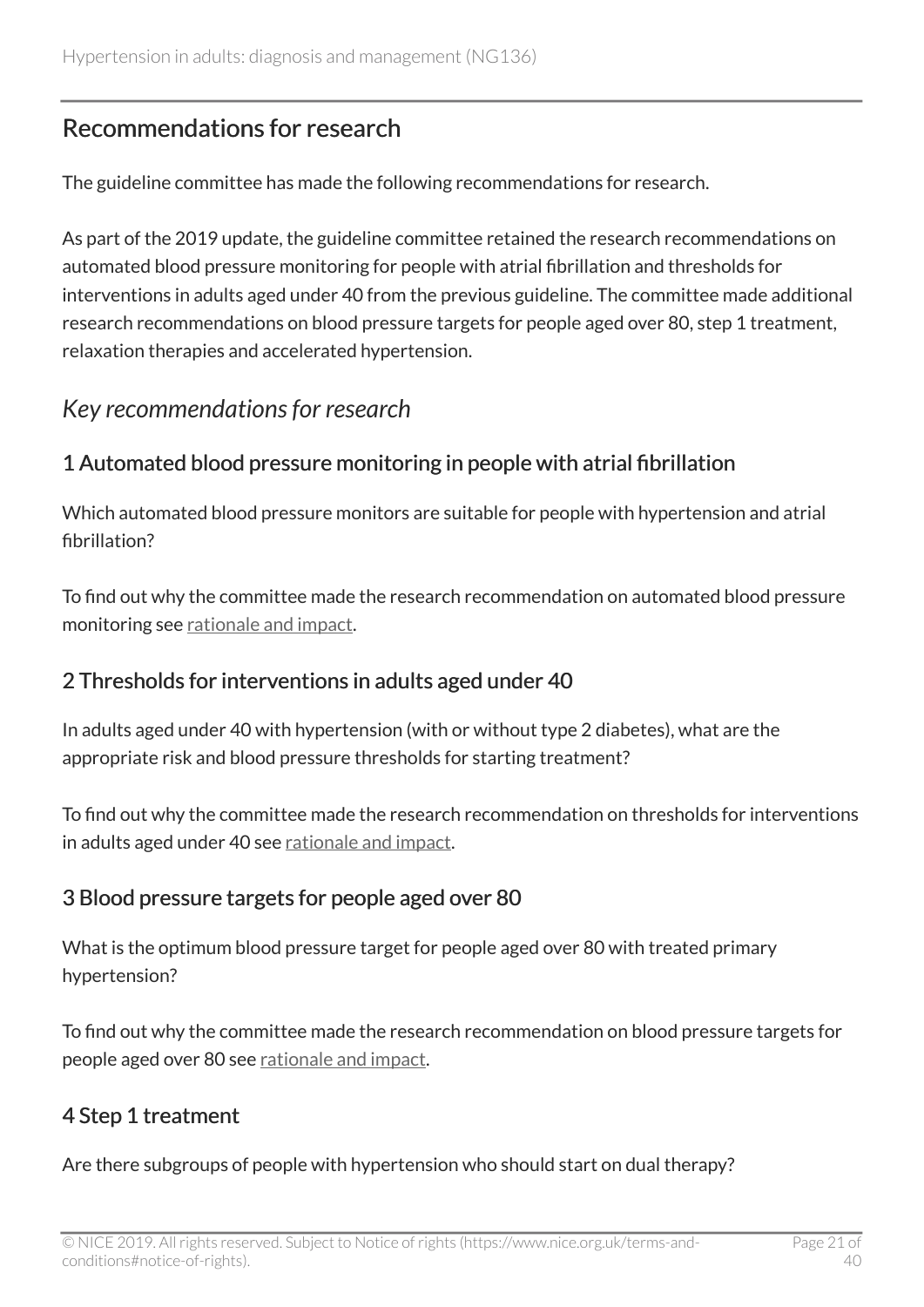# <span id="page-20-0"></span>Recommendations for research

The guideline committee has made the following recommendations for research.

As part of the 2019 update, the guideline committee retained the research recommendations on automated blood pressure monitoring for people with atrial fibrillation and thresholds for interventions in adults aged under 40 from the previous guideline. The committee made additional research recommendations on blood pressure targets for people aged over 80, step 1 treatment, relaxation therapies and accelerated hypertension.

### <span id="page-20-1"></span>*Key recommendations for research*

### <span id="page-20-3"></span>1 Automated blood pressure monitoring in people with atrial fibrillation

Which automated blood pressure monitors are suitable for people with hypertension and atrial fibrillation?

To find out why the committee made the research recommendation on automated blood pressure monitoring see [rationale and impact](#page-27-1).

### <span id="page-20-2"></span>2 Thresholds for interventions in adults aged under 40

In adults aged under 40 with hypertension (with or without type 2 diabetes), what are the appropriate risk and blood pressure thresholds for starting treatment?

To find out why the committee made the research recommendation on thresholds for interventions in adults aged under 40 see [rationale and impact.](#page-24-0)

### <span id="page-20-4"></span>3 Blood pressure targets for people aged over 80

What is the optimum blood pressure target for people aged over 80 with treated primary hypertension?

To find out why the committee made the research recommendation on blood pressure targets for people aged over 80 see [rationale and impact.](#page-28-0)

### <span id="page-20-5"></span>4 Step 1 treatment

Are there subgroups of people with hypertension who should start on dual therapy?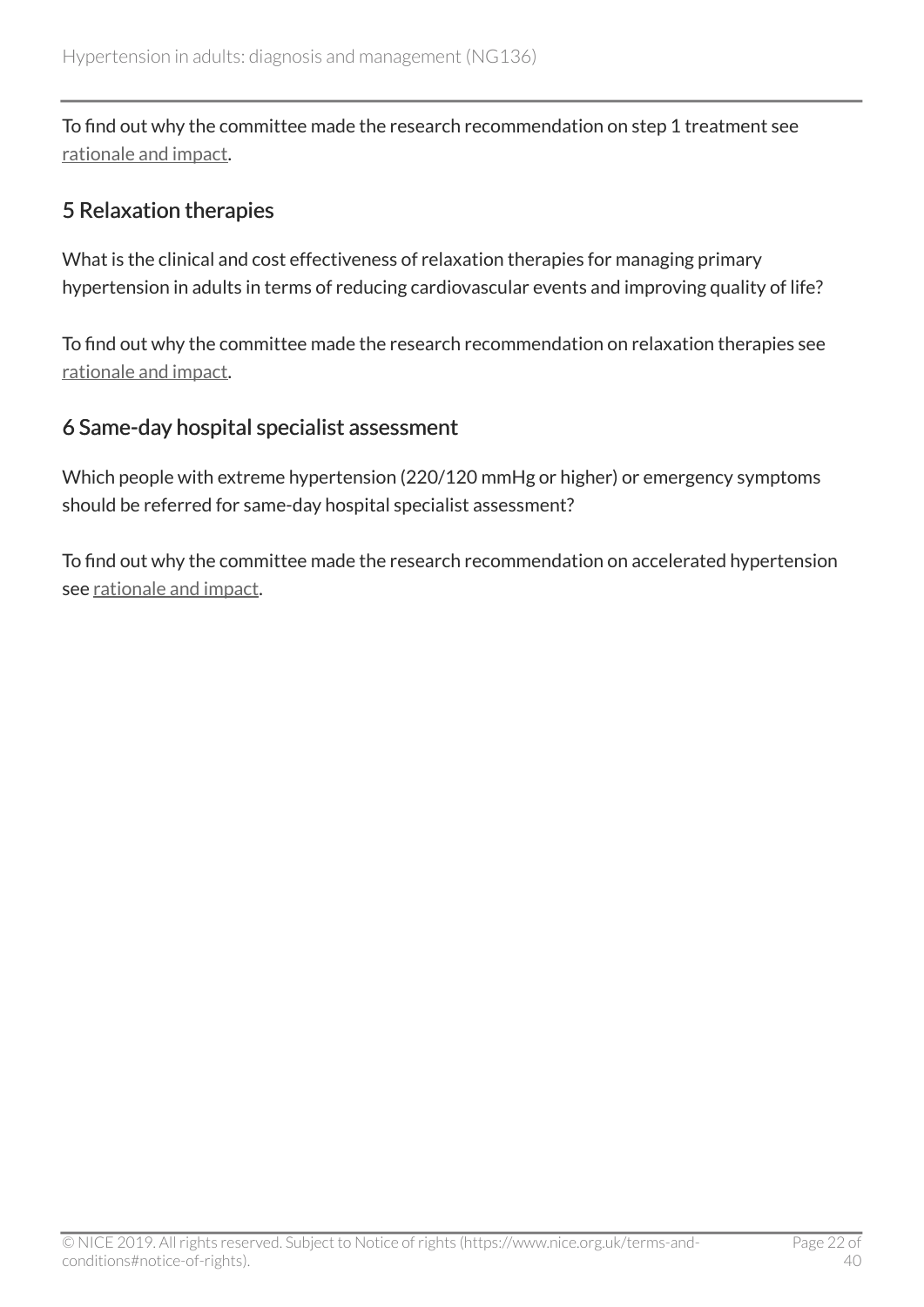To find out why the committee made the research recommendation on step 1 treatment see [rationale and impact.](#page-30-0)

### <span id="page-21-0"></span>5 Relaxation therapies

What is the clinical and cost effectiveness of relaxation therapies for managing primary hypertension in adults in terms of reducing cardiovascular events and improving quality of life?

To find out why the committee made the research recommendation on relaxation therapies see [rationale and impact.](#page-23-0)

### <span id="page-21-1"></span>6 Same-day hospital specialist assessment

Which people with extreme hypertension (220/120 mmHg or higher) or emergency symptoms should be referred for same-day hospital specialist assessment?

To find out why the committee made the research recommendation on accelerated hypertension see [rationale and impact.](#page-34-0)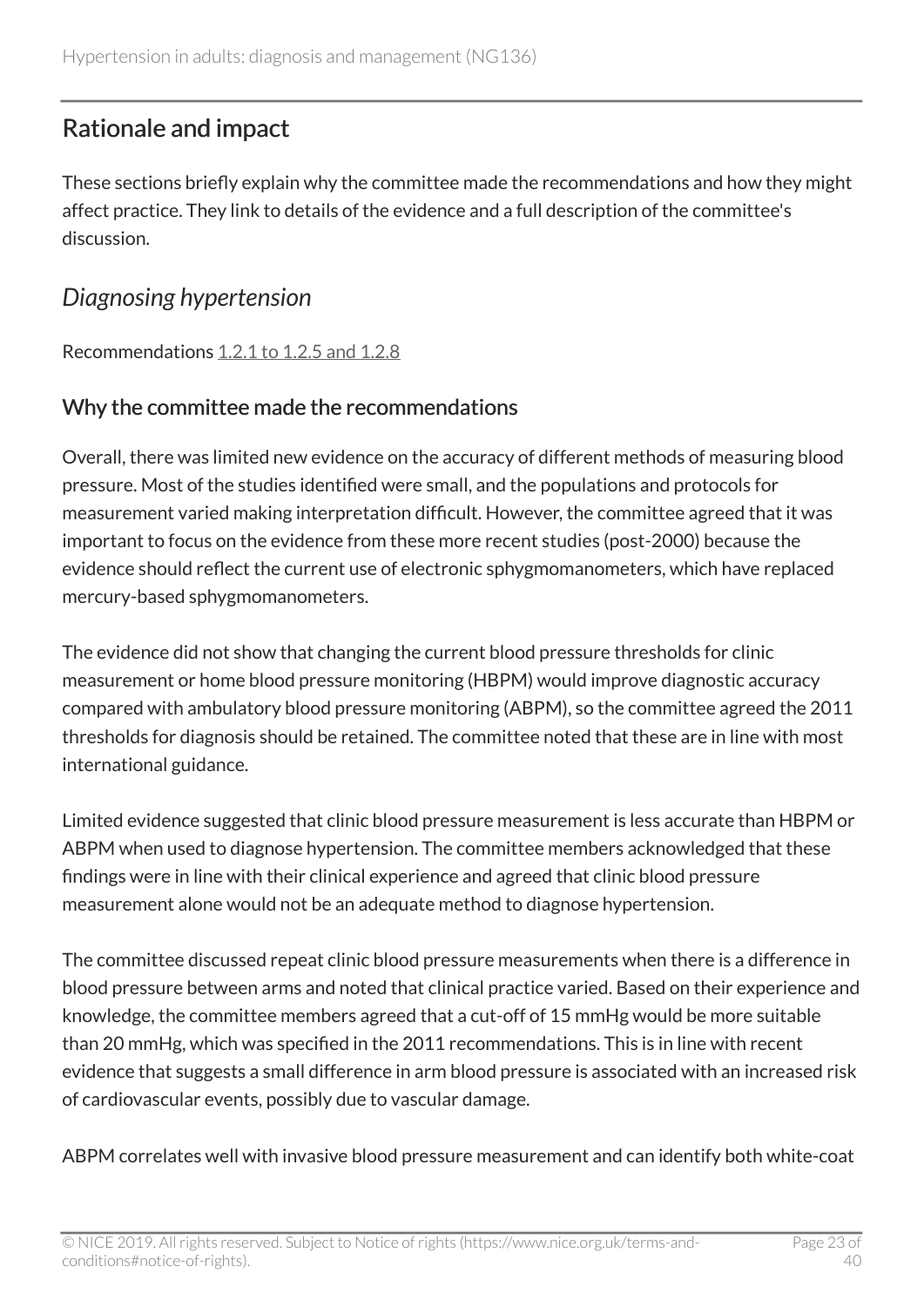# <span id="page-22-0"></span>Rationale and impact

These sections briefly explain why the committee made the recommendations and how they might affect practice. They link to details of the evidence and a full description of the committee's discussion.

### <span id="page-22-1"></span>*Diagnosing hypertension*

Recommendations [1.2.1 to 1.2.5 and 1.2.8](#page-5-0)

#### Why the committee made the recommendations

Overall, there was limited new evidence on the accuracy of different methods of measuring blood pressure. Most of the studies identified were small, and the populations and protocols for measurement varied making interpretation difficult. However, the committee agreed that it was important to focus on the evidence from these more recent studies (post-2000) because the evidence should reflect the current use of electronic sphygmomanometers, which have replaced mercury-based sphygmomanometers.

The evidence did not show that changing the current blood pressure thresholds for clinic measurement or home blood pressure monitoring (HBPM) would improve diagnostic accuracy compared with ambulatory blood pressure monitoring (ABPM), so the committee agreed the 2011 thresholds for diagnosis should be retained. The committee noted that these are in line with most international guidance.

Limited evidence suggested that clinic blood pressure measurement is less accurate than HBPM or ABPM when used to diagnose hypertension. The committee members acknowledged that these findings were in line with their clinical experience and agreed that clinic blood pressure measurement alone would not be an adequate method to diagnose hypertension.

The committee discussed repeat clinic blood pressure measurements when there is a difference in blood pressure between arms and noted that clinical practice varied. Based on their experience and knowledge, the committee members agreed that a cut-off of 15 mmHg would be more suitable than 20 mmHg, which was specified in the 2011 recommendations. This is in line with recent evidence that suggests a small difference in arm blood pressure is associated with an increased risk of cardiovascular events, possibly due to vascular damage.

ABPM correlates well with invasive blood pressure measurement and can identify both white-coat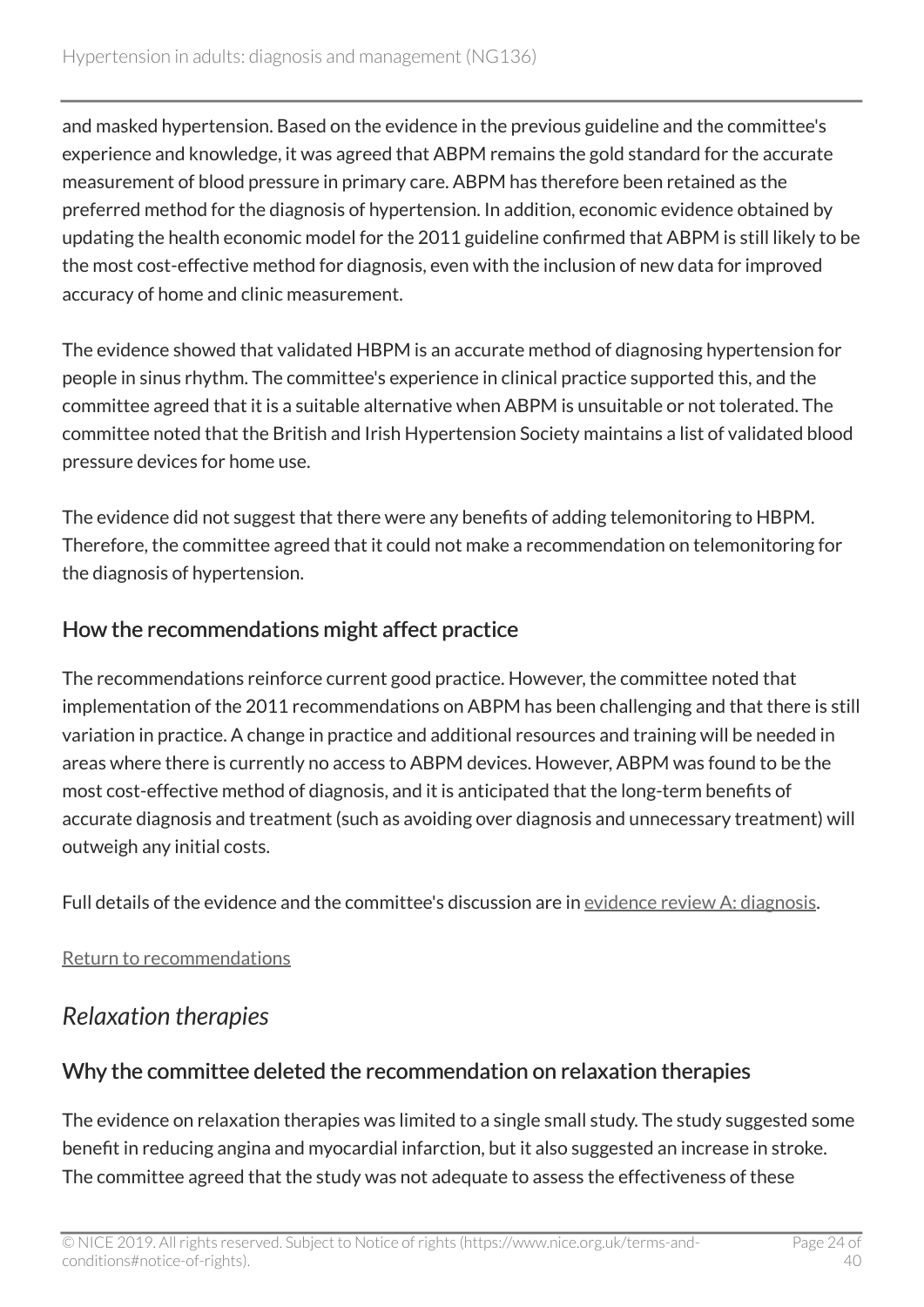and masked hypertension. Based on the evidence in the previous guideline and the committee's experience and knowledge, it was agreed that ABPM remains the gold standard for the accurate measurement of blood pressure in primary care. ABPM has therefore been retained as the preferred method for the diagnosis of hypertension. In addition, economic evidence obtained by updating the health economic model for the 2011 guideline confirmed that ABPM is still likely to be the most cost-effective method for diagnosis, even with the inclusion of new data for improved accuracy of home and clinic measurement.

The evidence showed that validated HBPM is an accurate method of diagnosing hypertension for people in sinus rhythm. The committee's experience in clinical practice supported this, and the committee agreed that it is a suitable alternative when ABPM is unsuitable or not tolerated. The committee noted that the British and Irish Hypertension Society maintains a list of validated blood pressure devices for home use.

The evidence did not suggest that there were any benefits of adding telemonitoring to HBPM. Therefore, the committee agreed that it could not make a recommendation on telemonitoring for the diagnosis of hypertension.

### How the recommendations might affect practice

The recommendations reinforce current good practice. However, the committee noted that implementation of the 2011 recommendations on ABPM has been challenging and that there is still variation in practice. A change in practice and additional resources and training will be needed in areas where there is currently no access to ABPM devices. However, ABPM was found to be the most cost-effective method of diagnosis, and it is anticipated that the long-term benefits of accurate diagnosis and treatment (such as avoiding over diagnosis and unnecessary treatment) will outweigh any initial costs.

Full details of the evidence and the committee's discussion are in [evidence review A: diagnosis](https://www.nice.org.uk/guidance/ng136/evidence/a-diagnosis-pdf-6896748206).

#### [Return to recommendations](#page-5-0)

# <span id="page-23-0"></span>*Relaxation therapies*

### Why the committee deleted the recommendation on relaxation therapies

The evidence on relaxation therapies was limited to a single small study. The study suggested some benefit in reducing angina and myocardial infarction, but it also suggested an increase in stroke. The committee agreed that the study was not adequate to assess the effectiveness of these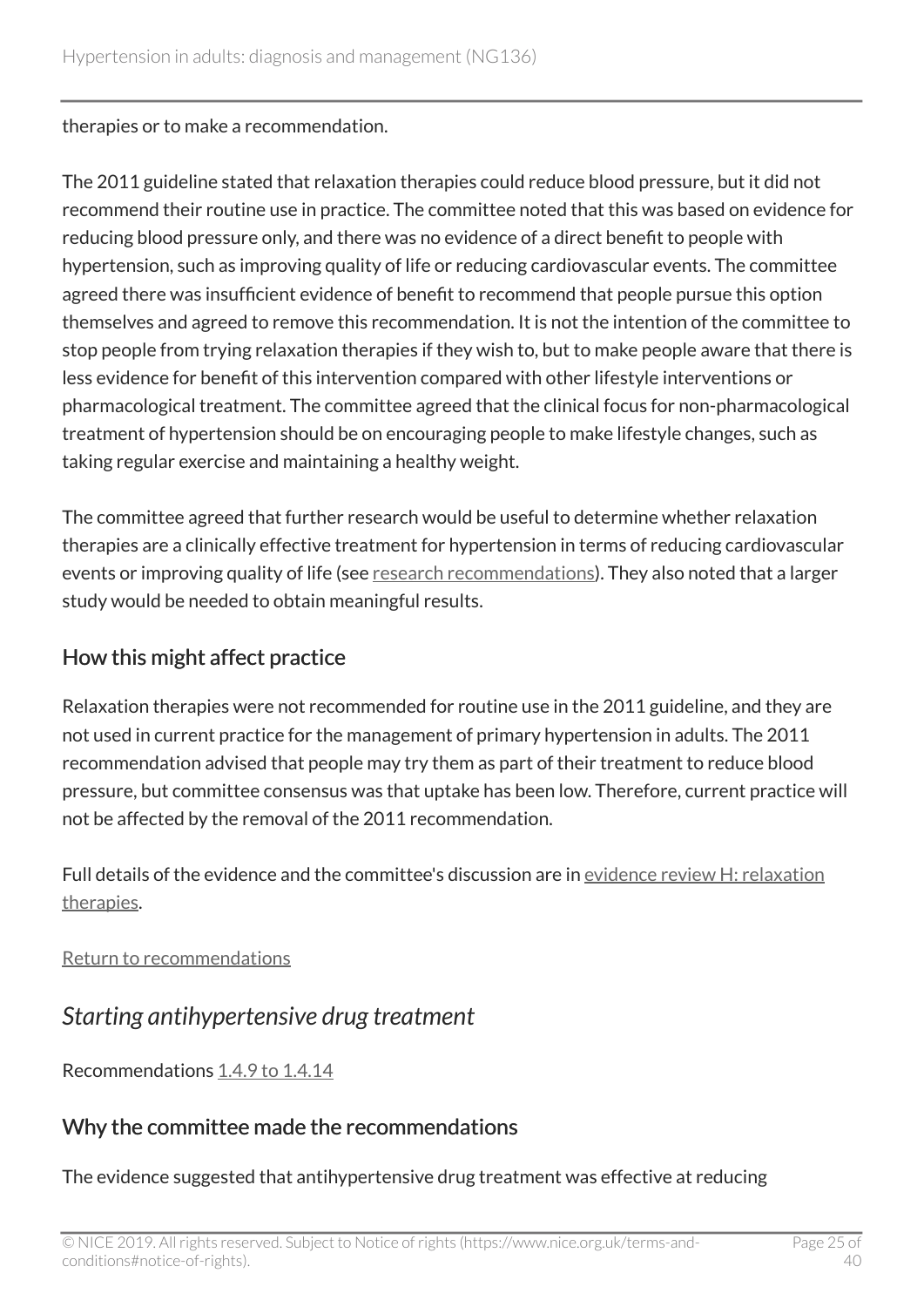therapies or to make a recommendation.

The 2011 guideline stated that relaxation therapies could reduce blood pressure, but it did not recommend their routine use in practice. The committee noted that this was based on evidence for reducing blood pressure only, and there was no evidence of a direct benefit to people with hypertension, such as improving quality of life or reducing cardiovascular events. The committee agreed there was insufficient evidence of benefit to recommend that people pursue this option themselves and agreed to remove this recommendation. It is not the intention of the committee to stop people from trying relaxation therapies if they wish to, but to make people aware that there is less evidence for benefit of this intervention compared with other lifestyle interventions or pharmacological treatment. The committee agreed that the clinical focus for non-pharmacological treatment of hypertension should be on encouraging people to make lifestyle changes, such as taking regular exercise and maintaining a healthy weight.

The committee agreed that further research would be useful to determine whether relaxation therapies are a clinically effective treatment for hypertension in terms of reducing cardiovascular events or improving quality of life (see [research recommendations](#page-21-0)). They also noted that a larger study would be needed to obtain meaningful results.

### How this might affect practice

Relaxation therapies were not recommended for routine use in the 2011 guideline, and they are not used in current practice for the management of primary hypertension in adults. The 2011 recommendation advised that people may try them as part of their treatment to reduce blood pressure, but committee consensus was that uptake has been low. Therefore, current practice will not be affected by the removal of the 2011 recommendation.

Full details of the evidence and the committee's discussion are in [evidence review H: relaxation](https://www.nice.org.uk/guidance/ng136/evidence/h-relaxation-therapies-pdf-6896748213) [therapies](https://www.nice.org.uk/guidance/ng136/evidence/h-relaxation-therapies-pdf-6896748213).

[Return to recommendations](#page-8-1)

<span id="page-24-0"></span>*Starting antihypertensive drug treatment*

Recommendations [1.4.9 to 1.4.14](#page-9-0)

### Why the committee made the recommendations

The evidence suggested that antihypertensive drug treatment was effective at reducing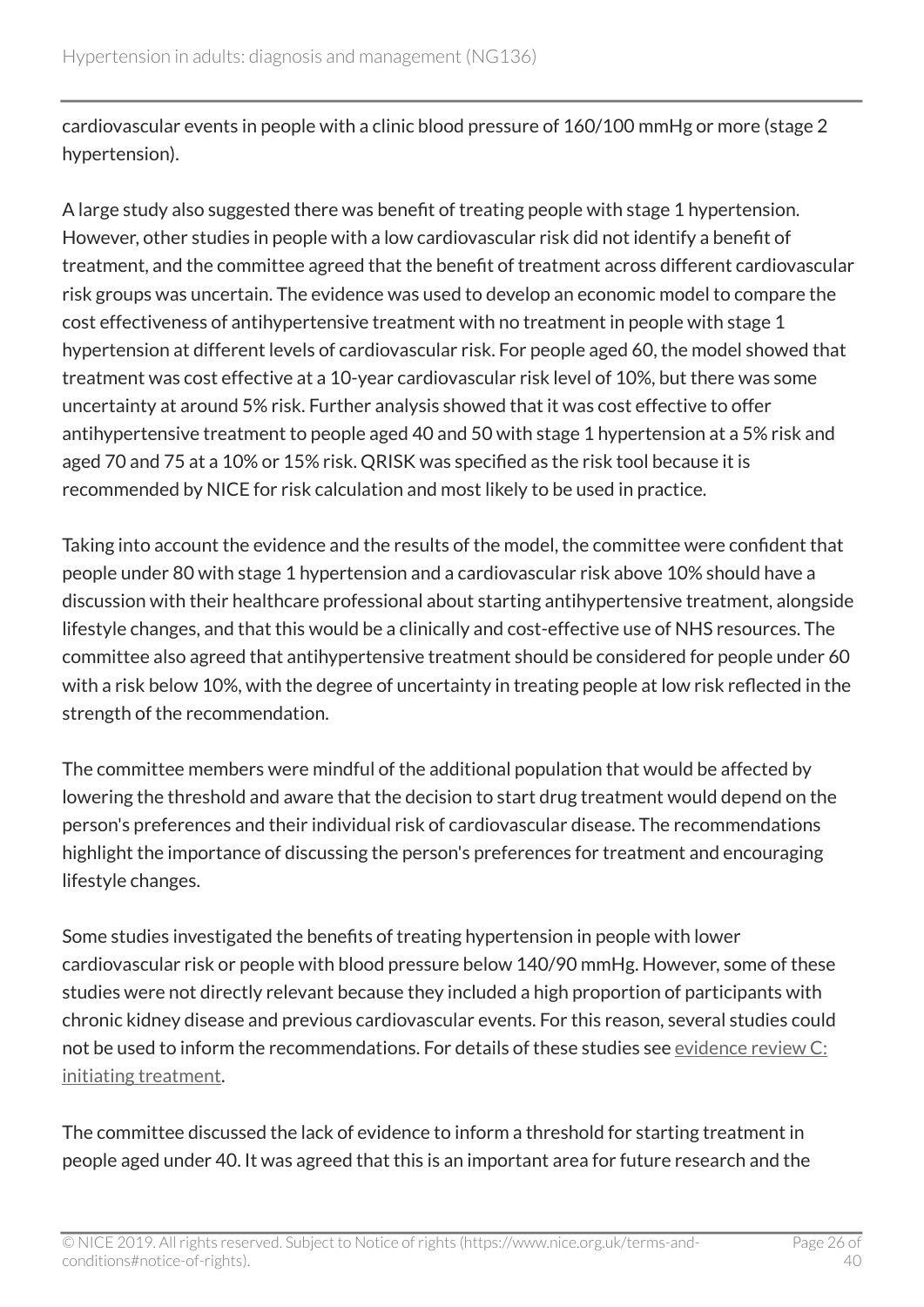cardiovascular events in people with a clinic blood pressure of 160/100 mmHg or more (stage 2 hypertension).

A large study also suggested there was benefit of treating people with stage 1 hypertension. However, other studies in people with a low cardiovascular risk did not identify a benefit of treatment, and the committee agreed that the benefit of treatment across different cardiovascular risk groups was uncertain. The evidence was used to develop an economic model to compare the cost effectiveness of antihypertensive treatment with no treatment in people with stage 1 hypertension at different levels of cardiovascular risk. For people aged 60, the model showed that treatment was cost effective at a 10-year cardiovascular risk level of 10%, but there was some uncertainty at around 5% risk. Further analysis showed that it was cost effective to offer antihypertensive treatment to people aged 40 and 50 with stage 1 hypertension at a 5% risk and aged 70 and 75 at a 10% or 15% risk. QRISK was specified as the risk tool because it is recommended by NICE for risk calculation and most likely to be used in practice.

Taking into account the evidence and the results of the model, the committee were confident that people under 80 with stage 1 hypertension and a cardiovascular risk above 10% should have a discussion with their healthcare professional about starting antihypertensive treatment, alongside lifestyle changes, and that this would be a clinically and cost-effective use of NHS resources. The committee also agreed that antihypertensive treatment should be considered for people under 60 with a risk below 10%, with the degree of uncertainty in treating people at low risk reflected in the strength of the recommendation.

The committee members were mindful of the additional population that would be affected by lowering the threshold and aware that the decision to start drug treatment would depend on the person's preferences and their individual risk of cardiovascular disease. The recommendations highlight the importance of discussing the person's preferences for treatment and encouraging lifestyle changes.

Some studies investigated the benefits of treating hypertension in people with lower cardiovascular risk or people with blood pressure below 140/90 mmHg. However, some of these studies were not directly relevant because they included a high proportion of participants with chronic kidney disease and previous cardiovascular events. For this reason, several studies could not be used to inform the recommendations. For details of these studies see [evidence review C:](https://www.nice.org.uk/guidance/ng136/evidence/c-initiating-treatment-pdf-6896748208) [initiating treatment.](https://www.nice.org.uk/guidance/ng136/evidence/c-initiating-treatment-pdf-6896748208)

The committee discussed the lack of evidence to inform a threshold for starting treatment in people aged under 40. It was agreed that this is an important area for future research and the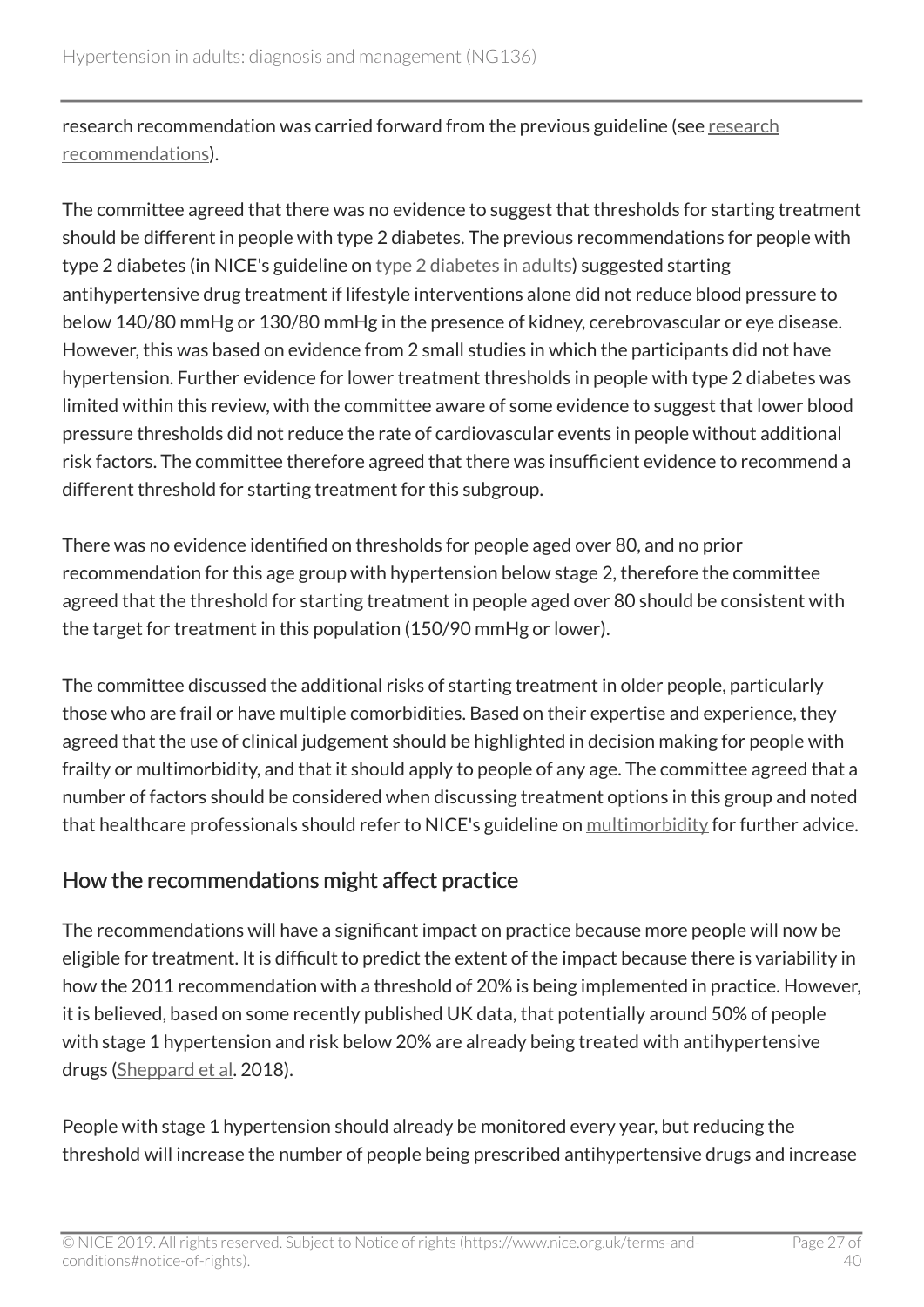[research](#page-20-2) recommendation was carried forward from the previous guideline (see research [recommendations\)](#page-20-2).

The committee agreed that there was no evidence to suggest that thresholds for starting treatment should be different in people with type 2 diabetes. The previous recommendations for people with type 2 diabetes (in NICE's guideline on type [2 diabetes in adults\)](https://www.nice.org.uk/guidance/ng28) suggested starting antihypertensive drug treatment if lifestyle interventions alone did not reduce blood pressure to below 140/80 mmHg or 130/80 mmHg in the presence of kidney, cerebrovascular or eye disease. However, this was based on evidence from 2 small studies in which the participants did not have hypertension. Further evidence for lower treatment thresholds in people with type 2 diabetes was limited within this review, with the committee aware of some evidence to suggest that lower blood pressure thresholds did not reduce the rate of cardiovascular events in people without additional risk factors. The committee therefore agreed that there was insufficient evidence to recommend a different threshold for starting treatment for this subgroup.

There was no evidence identified on thresholds for people aged over 80, and no prior recommendation for this age group with hypertension below stage 2, therefore the committee agreed that the threshold for starting treatment in people aged over 80 should be consistent with the target for treatment in this population (150/90 mmHg or lower).

The committee discussed the additional risks of starting treatment in older people, particularly those who are frail or have multiple comorbidities. Based on their expertise and experience, they agreed that the use of clinical judgement should be highlighted in decision making for people with frailty or multimorbidity, and that it should apply to people of any age. The committee agreed that a number of factors should be considered when discussing treatment options in this group and noted that healthcare professionals should refer to NICE's guideline on [multimorbidity](https://www.nice.org.uk/guidance/ng56) for further advice.

### How the recommendations might affect practice

The recommendations will have a significant impact on practice because more people will now be eligible for treatment. It is difficult to predict the extent of the impact because there is variability in how the 2011 recommendation with a threshold of 20% is being implemented in practice. However, it is believed, based on some recently published UK data, that potentially around 50% of people with stage 1 hypertension and risk below 20% are already being treated with antihypertensive drugs [\(Sheppard et al](https://bmjopen.bmj.com/content/8/9/e021827). 2018).

People with stage 1 hypertension should already be monitored every year, but reducing the threshold will increase the number of people being prescribed antihypertensive drugs and increase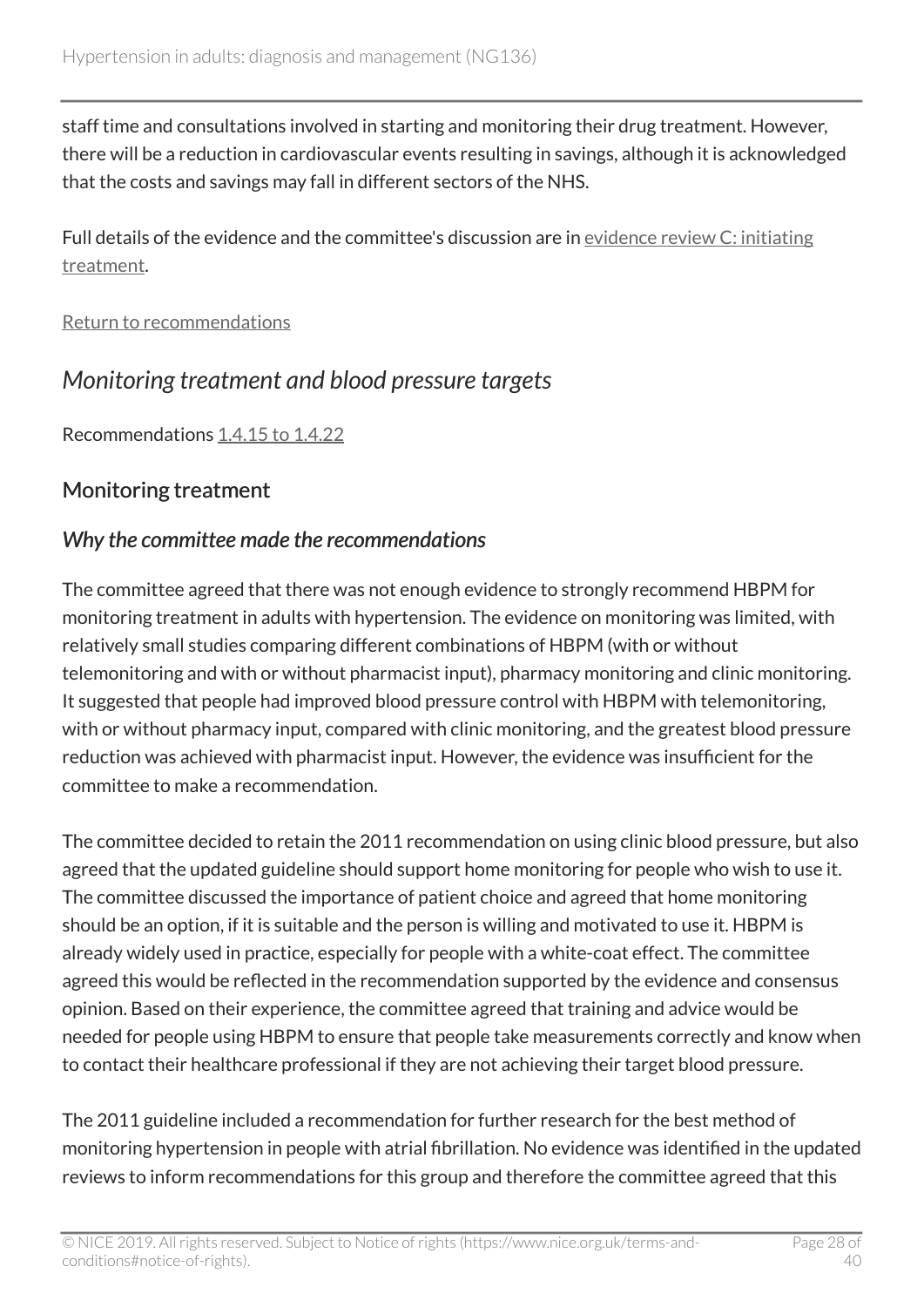staff time and consultations involved in starting and monitoring their drug treatment. However, there will be a reduction in cardiovascular events resulting in savings, although it is acknowledged that the costs and savings may fall in different sectors of the NHS.

Full details of the evidence and the committee's discussion are in [evidence review C: initiating](https://www.nice.org.uk/guidance/ng136/evidence/c-initiating-treatment-pdf-6896748208) [treatment](https://www.nice.org.uk/guidance/ng136/evidence/c-initiating-treatment-pdf-6896748208).

#### [Return to recommendations](#page-9-0)

### <span id="page-27-0"></span>*Monitoring treatment and blood pressure targets*

Recommendations [1.4.15 to 1.4.22](#page-10-0)

### <span id="page-27-1"></span>Monitoring treatment

#### *Why the committee made the recommendations*

The committee agreed that there was not enough evidence to strongly recommend HBPM for monitoring treatment in adults with hypertension. The evidence on monitoring was limited, with relatively small studies comparing different combinations of HBPM (with or without telemonitoring and with or without pharmacist input), pharmacy monitoring and clinic monitoring. It suggested that people had improved blood pressure control with HBPM with telemonitoring, with or without pharmacy input, compared with clinic monitoring, and the greatest blood pressure reduction was achieved with pharmacist input. However, the evidence was insufficient for the committee to make a recommendation.

The committee decided to retain the 2011 recommendation on using clinic blood pressure, but also agreed that the updated guideline should support home monitoring for people who wish to use it. The committee discussed the importance of patient choice and agreed that home monitoring should be an option, if it is suitable and the person is willing and motivated to use it. HBPM is already widely used in practice, especially for people with a white-coat effect. The committee agreed this would be reflected in the recommendation supported by the evidence and consensus opinion. Based on their experience, the committee agreed that training and advice would be needed for people using HBPM to ensure that people take measurements correctly and know when to contact their healthcare professional if they are not achieving their target blood pressure.

The 2011 guideline included a recommendation for further research for the best method of monitoring hypertension in people with atrial fibrillation. No evidence was identified in the updated reviews to inform recommendations for this group and therefore the committee agreed that this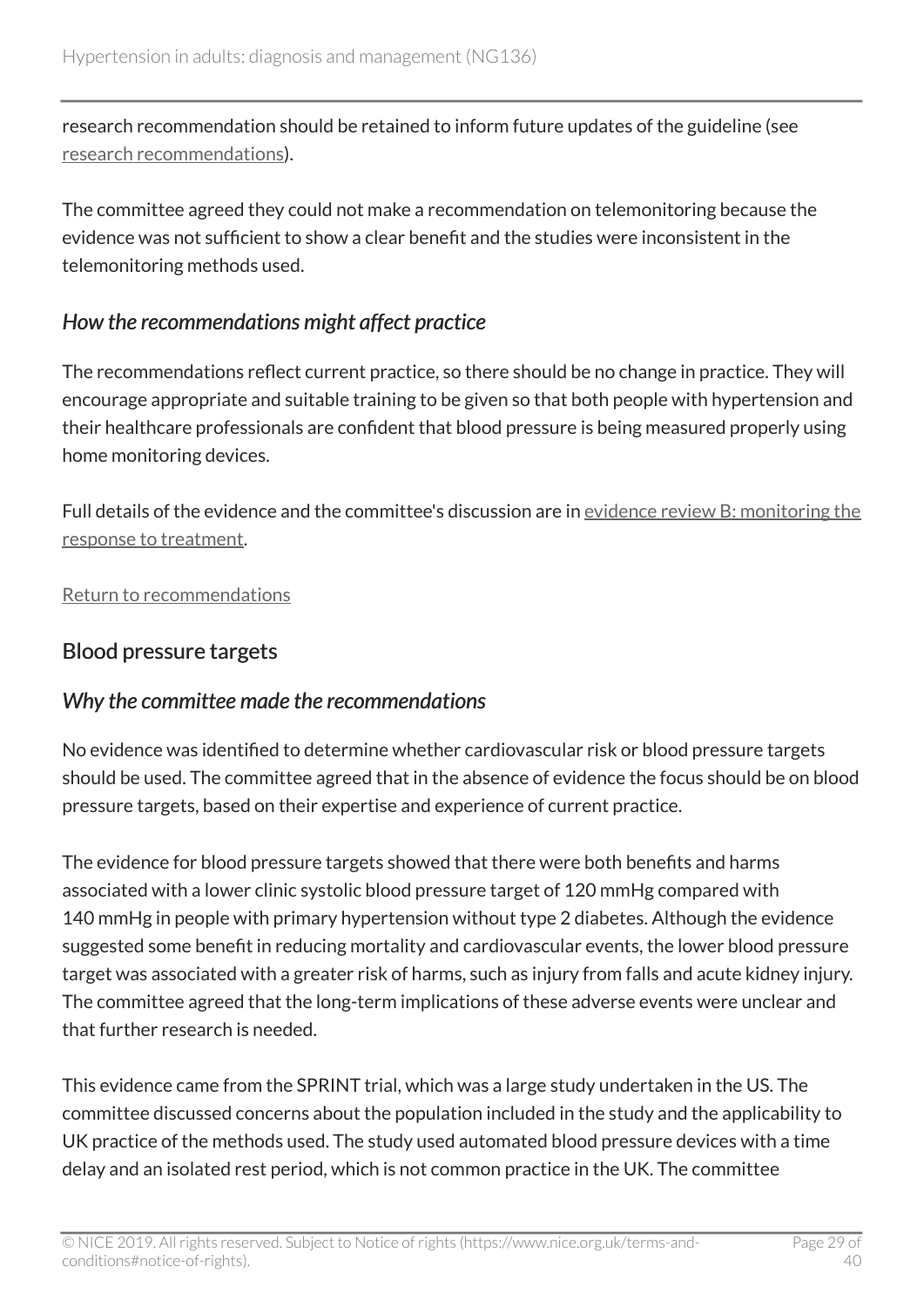research recommendation should be retained to inform future updates of the guideline (see [research recommendations](#page-20-3)).

The committee agreed they could not make a recommendation on telemonitoring because the evidence was not sufficient to show a clear benefit and the studies were inconsistent in the telemonitoring methods used.

#### *How the recommendations might affect practice*

The recommendations reflect current practice, so there should be no change in practice. They will encourage appropriate and suitable training to be given so that both people with hypertension and their healthcare professionals are confident that blood pressure is being measured properly using home monitoring devices.

Full details of the evidence and the committee's discussion are in [evidence review B: monitoring the](https://www.nice.org.uk/guidance/ng136/evidence/b-monitoring-pdf-6896748207) [response to treatment](https://www.nice.org.uk/guidance/ng136/evidence/b-monitoring-pdf-6896748207).

[Return to recommendations](#page-10-0)

### <span id="page-28-0"></span>Blood pressure targets

### *Why the committee made the recommendations*

No evidence was identified to determine whether cardiovascular risk or blood pressure targets should be used. The committee agreed that in the absence of evidence the focus should be on blood pressure targets, based on their expertise and experience of current practice.

The evidence for blood pressure targets showed that there were both benefits and harms associated with a lower clinic systolic blood pressure target of 120 mmHg compared with 140 mmHg in people with primary hypertension without type 2 diabetes. Although the evidence suggested some benefit in reducing mortality and cardiovascular events, the lower blood pressure target was associated with a greater risk of harms, such as injury from falls and acute kidney injury. The committee agreed that the long-term implications of these adverse events were unclear and that further research is needed.

This evidence came from the SPRINT trial, which was a large study undertaken in the US. The committee discussed concerns about the population included in the study and the applicability to UK practice of the methods used. The study used automated blood pressure devices with a time delay and an isolated rest period, which is not common practice in the UK. The committee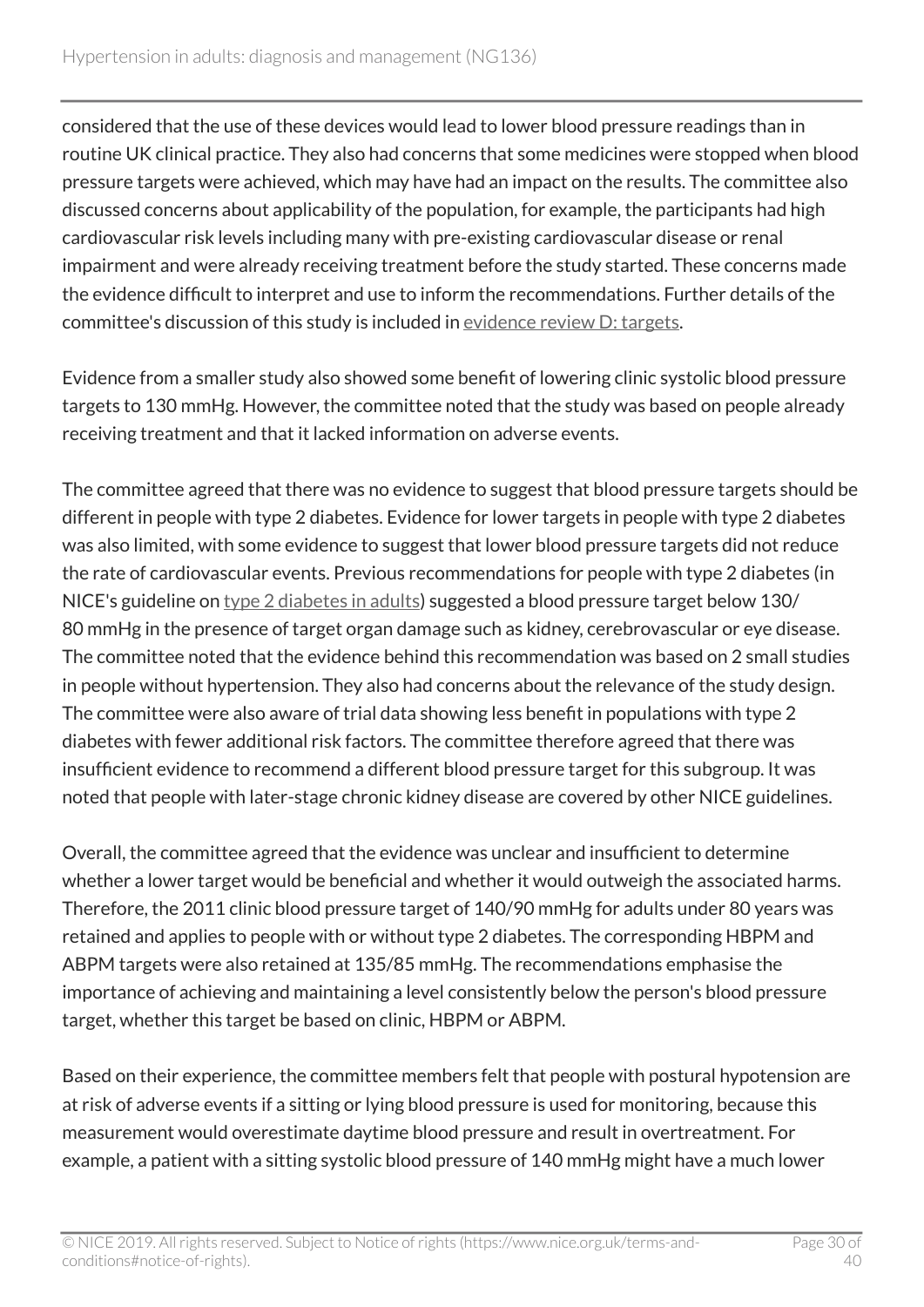considered that the use of these devices would lead to lower blood pressure readings than in routine UK clinical practice. They also had concerns that some medicines were stopped when blood pressure targets were achieved, which may have had an impact on the results. The committee also discussed concerns about applicability of the population, for example, the participants had high cardiovascular risk levels including many with pre-existing cardiovascular disease or renal impairment and were already receiving treatment before the study started. These concerns made the evidence difficult to interpret and use to inform the recommendations. Further details of the committee's discussion of this study is included in [evidence review D: targets.](https://www.nice.org.uk/guidance/ng136/evidence/d-targets-pdf-6896748209)

Evidence from a smaller study also showed some benefit of lowering clinic systolic blood pressure targets to 130 mmHg. However, the committee noted that the study was based on people already receiving treatment and that it lacked information on adverse events.

The committee agreed that there was no evidence to suggest that blood pressure targets should be different in people with type 2 diabetes. Evidence for lower targets in people with type 2 diabetes was also limited, with some evidence to suggest that lower blood pressure targets did not reduce the rate of cardiovascular events. Previous recommendations for people with type 2 diabetes (in NICE's guideline on type [2 diabetes in adults\)](https://www.nice.org.uk/guidance/ng28) suggested a blood pressure target below 130/ 80 mmHg in the presence of target organ damage such as kidney, cerebrovascular or eye disease. The committee noted that the evidence behind this recommendation was based on 2 small studies in people without hypertension. They also had concerns about the relevance of the study design. The committee were also aware of trial data showing less benefit in populations with type 2 diabetes with fewer additional risk factors. The committee therefore agreed that there was insufficient evidence to recommend a different blood pressure target for this subgroup. It was noted that people with later-stage chronic kidney disease are covered by other NICE guidelines.

Overall, the committee agreed that the evidence was unclear and insufficient to determine whether a lower target would be beneficial and whether it would outweigh the associated harms. Therefore, the 2011 clinic blood pressure target of 140/90 mmHg for adults under 80 years was retained and applies to people with or without type 2 diabetes. The corresponding HBPM and ABPM targets were also retained at 135/85 mmHg. The recommendations emphasise the importance of achieving and maintaining a level consistently below the person's blood pressure target, whether this target be based on clinic, HBPM or ABPM.

Based on their experience, the committee members felt that people with postural hypotension are at risk of adverse events if a sitting or lying blood pressure is used for monitoring, because this measurement would overestimate daytime blood pressure and result in overtreatment. For example, a patient with a sitting systolic blood pressure of 140 mmHg might have a much lower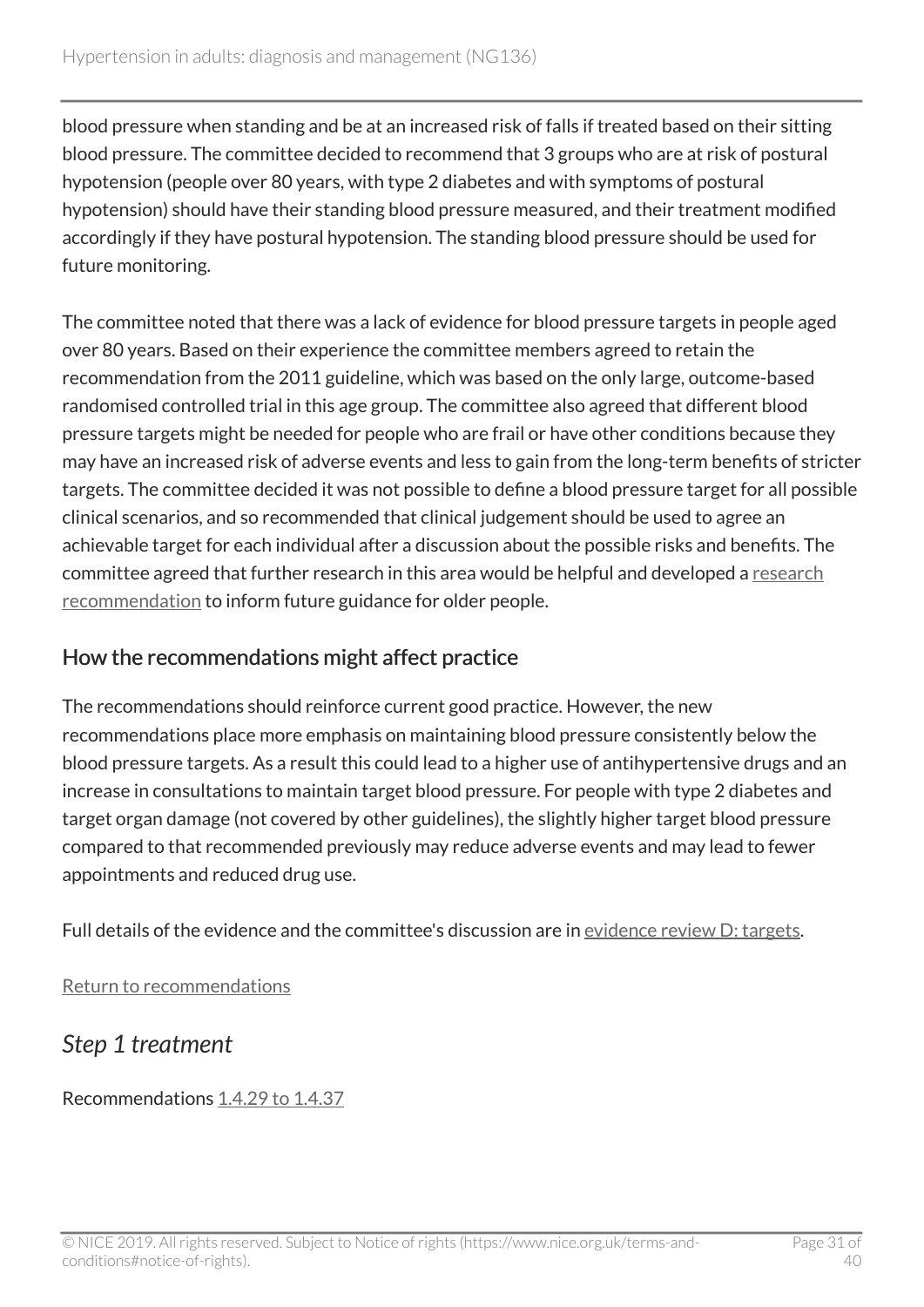blood pressure when standing and be at an increased risk of falls if treated based on their sitting blood pressure. The committee decided to recommend that 3 groups who are at risk of postural hypotension (people over 80 years, with type 2 diabetes and with symptoms of postural hypotension) should have their standing blood pressure measured, and their treatment modified accordingly if they have postural hypotension. The standing blood pressure should be used for future monitoring.

The committee noted that there was a lack of evidence for blood pressure targets in people aged over 80 years. Based on their experience the committee members agreed to retain the recommendation from the 2011 guideline, which was based on the only large, outcome-based randomised controlled trial in this age group. The committee also agreed that different blood pressure targets might be needed for people who are frail or have other conditions because they may have an increased risk of adverse events and less to gain from the long-term benefits of stricter targets. The committee decided it was not possible to define a blood pressure target for all possible clinical scenarios, and so recommended that clinical judgement should be used to agree an achievable target for each individual after a discussion about the possible risks and benefits. The committee agreed that further research in this area would be helpful and developed a [research](#page-20-4) [recommendation](#page-20-4) to inform future guidance for older people.

#### How the recommendations might affect practice

The recommendations should reinforce current good practice. However, the new recommendations place more emphasis on maintaining blood pressure consistently below the blood pressure targets. As a result this could lead to a higher use of antihypertensive drugs and an increase in consultations to maintain target blood pressure. For people with type 2 diabetes and target organ damage (not covered by other guidelines), the slightly higher target blood pressure compared to that recommended previously may reduce adverse events and may lead to fewer appointments and reduced drug use.

Full details of the evidence and the committee's discussion are in [evidence review D: targets.](https://www.nice.org.uk/guidance/ng136/evidence/d-targets-pdf-6896748209)

[Return to recommendations](#page-10-0)

### <span id="page-30-0"></span>*Step 1 treatment*

Recommendations [1.4.29 to 1.4.37](#page-13-0)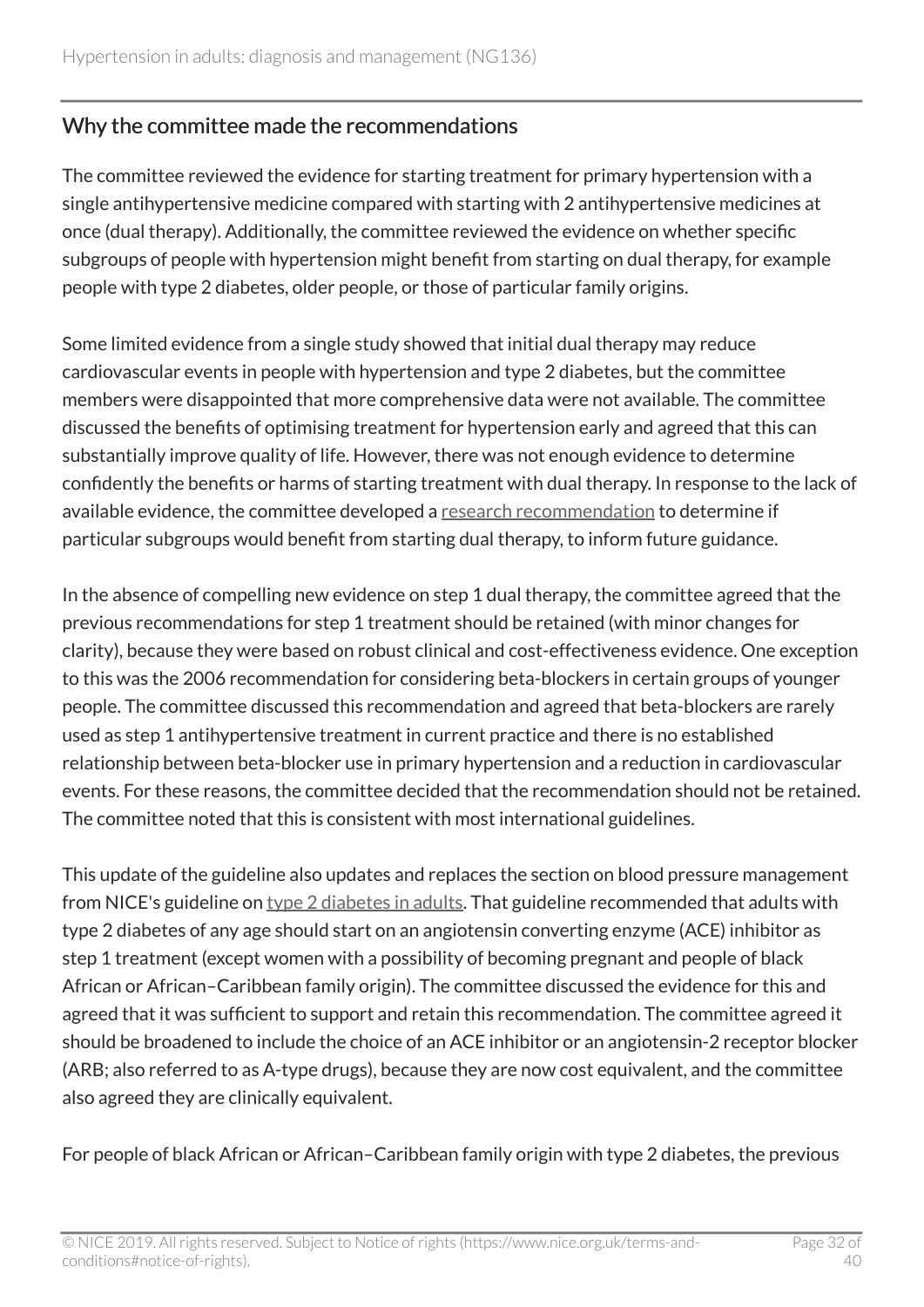#### Why the committee made the recommendations

The committee reviewed the evidence for starting treatment for primary hypertension with a single antihypertensive medicine compared with starting with 2 antihypertensive medicines at once (dual therapy). Additionally, the committee reviewed the evidence on whether specific subgroups of people with hypertension might benefit from starting on dual therapy, for example people with type 2 diabetes, older people, or those of particular family origins.

Some limited evidence from a single study showed that initial dual therapy may reduce cardiovascular events in people with hypertension and type 2 diabetes, but the committee members were disappointed that more comprehensive data were not available. The committee discussed the benefits of optimising treatment for hypertension early and agreed that this can substantially improve quality of life. However, there was not enough evidence to determine confidently the benefits or harms of starting treatment with dual therapy. In response to the lack of available evidence, the committee developed a [research recommendation](#page-20-5) to determine if particular subgroups would benefit from starting dual therapy, to inform future guidance.

In the absence of compelling new evidence on step 1 dual therapy, the committee agreed that the previous recommendations for step 1 treatment should be retained (with minor changes for clarity), because they were based on robust clinical and cost-effectiveness evidence. One exception to this was the 2006 recommendation for considering beta-blockers in certain groups of younger people. The committee discussed this recommendation and agreed that beta-blockers are rarely used as step 1 antihypertensive treatment in current practice and there is no established relationship between beta-blocker use in primary hypertension and a reduction in cardiovascular events. For these reasons, the committee decided that the recommendation should not be retained. The committee noted that this is consistent with most international guidelines.

This update of the guideline also updates and replaces the section on blood pressure management from NICE's guideline on type [2 diabetes in adults](https://www.nice.org.uk/guidance/ng28). That guideline recommended that adults with type 2 diabetes of any age should start on an angiotensin converting enzyme (ACE) inhibitor as step 1 treatment (except women with a possibility of becoming pregnant and people of black African or African–Caribbean family origin). The committee discussed the evidence for this and agreed that it was sufficient to support and retain this recommendation. The committee agreed it should be broadened to include the choice of an ACE inhibitor or an angiotensin-2 receptor blocker (ARB; also referred to as A-type drugs), because they are now cost equivalent, and the committee also agreed they are clinically equivalent.

For people of black African or African–Caribbean family origin with type 2 diabetes, the previous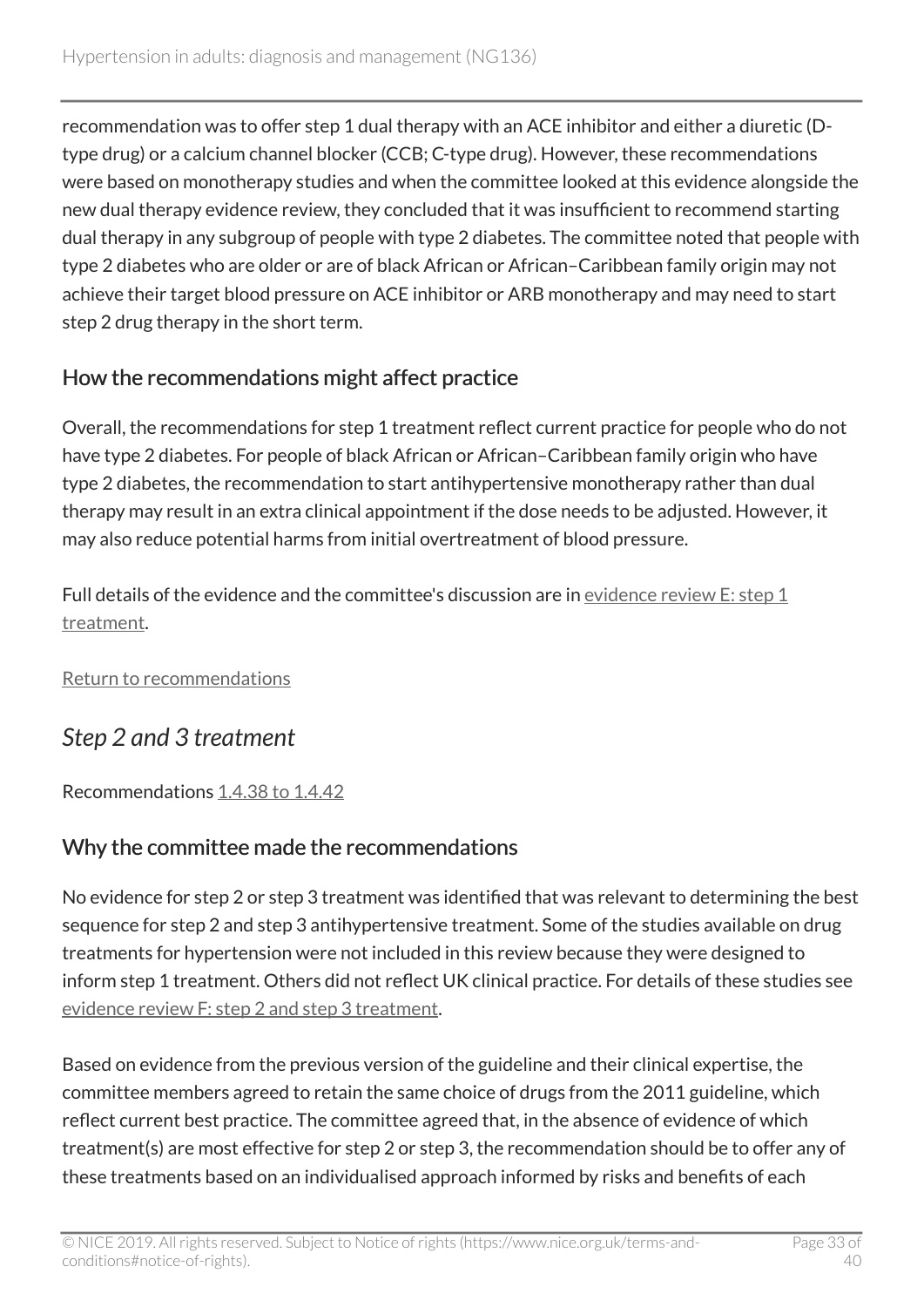recommendation was to offer step 1 dual therapy with an ACE inhibitor and either a diuretic (Dtype drug) or a calcium channel blocker (CCB; C-type drug). However, these recommendations were based on monotherapy studies and when the committee looked at this evidence alongside the new dual therapy evidence review, they concluded that it was insufficient to recommend starting dual therapy in any subgroup of people with type 2 diabetes. The committee noted that people with type 2 diabetes who are older or are of black African or African–Caribbean family origin may not achieve their target blood pressure on ACE inhibitor or ARB monotherapy and may need to start step 2 drug therapy in the short term.

### How the recommendations might affect practice

Overall, the recommendations for step 1 treatment reflect current practice for people who do not have type 2 diabetes. For people of black African or African–Caribbean family origin who have type 2 diabetes, the recommendation to start antihypertensive monotherapy rather than dual therapy may result in an extra clinical appointment if the dose needs to be adjusted. However, it may also reduce potential harms from initial overtreatment of blood pressure.

Full details of the evidence and the committee's discussion are in [evidence review E: step](https://www.nice.org.uk/guidance/ng136/evidence/e-step-1-treatment-pdf-6896748210) 1 [treatment](https://www.nice.org.uk/guidance/ng136/evidence/e-step-1-treatment-pdf-6896748210).

[Return to recommendations](#page-13-0)

# <span id="page-32-0"></span>*Step 2 and 3 treatment*

Recommendations [1.4.38 to 1.4.42](#page-14-0)

### Why the committee made the recommendations

No evidence for step 2 or step 3 treatment was identified that was relevant to determining the best sequence for step 2 and step 3 antihypertensive treatment. Some of the studies available on drug treatments for hypertension were not included in this review because they were designed to inform step 1 treatment. Others did not reflect UK clinical practice. For details of these studies see [evidence review F: step](https://www.nice.org.uk/guidance/ng136/evidence/f-step-2-and-step-3-treatment-pdf-6896748211) 2 and step 3 treatment.

Based on evidence from the previous version of the guideline and their clinical expertise, the committee members agreed to retain the same choice of drugs from the 2011 guideline, which reflect current best practice. The committee agreed that, in the absence of evidence of which treatment(s) are most effective for step 2 or step 3, the recommendation should be to offer any of these treatments based on an individualised approach informed by risks and benefits of each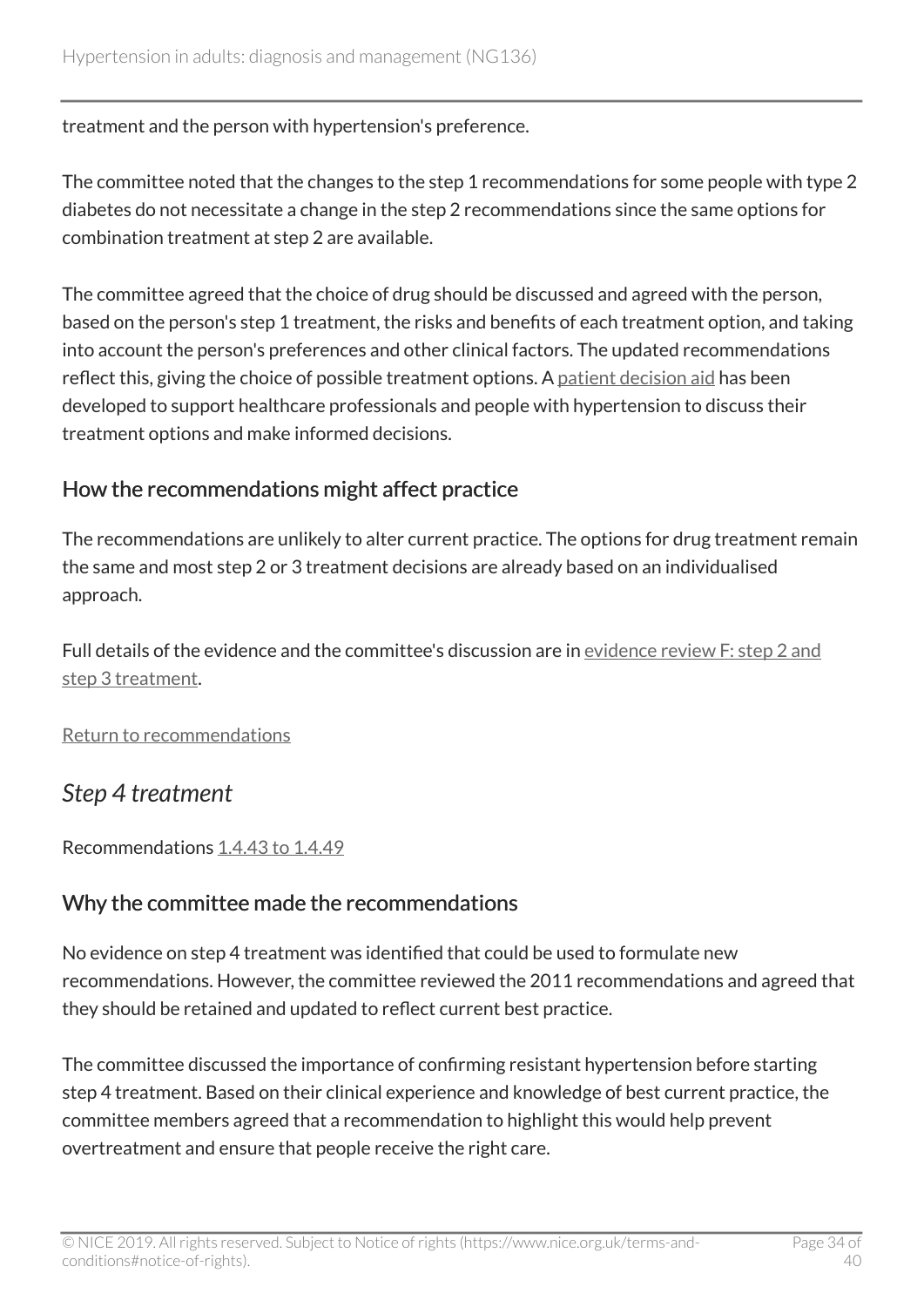treatment and the person with hypertension's preference.

The committee noted that the changes to the step 1 recommendations for some people with type 2 diabetes do not necessitate a change in the step 2 recommendations since the same options for combination treatment at step 2 are available.

The committee agreed that the choice of drug should be discussed and agreed with the person, based on the person's step 1 treatment, the risks and benefits of each treatment option, and taking into account the person's preferences and other clinical factors. The updated recommendations reflect this, giving the choice of possible treatment options. A [patient decision aid](http://www.nice.org.uk/guidance/NG136/resources) has been developed to support healthcare professionals and people with hypertension to discuss their treatment options and make informed decisions.

### How the recommendations might affect practice

The recommendations are unlikely to alter current practice. The options for drug treatment remain the same and most step 2 or 3 treatment decisions are already based on an individualised approach.

Full details of the evidence and the committee's discussion are in [evidence review F: step](https://www.nice.org.uk/guidance/ng136/evidence/f-step-2-and-step-3-treatment-pdf-6896748211) 2 and step [3 treatment.](https://www.nice.org.uk/guidance/ng136/evidence/f-step-2-and-step-3-treatment-pdf-6896748211)

[Return to recommendations](#page-14-0)

### <span id="page-33-0"></span>*Step 4 treatment*

Recommendations [1.4.43 to 1.4.49](#page-15-1)

#### Why the committee made the recommendations

No evidence on step 4 treatment was identified that could be used to formulate new recommendations. However, the committee reviewed the 2011 recommendations and agreed that they should be retained and updated to reflect current best practice.

The committee discussed the importance of confirming resistant hypertension before starting step 4 treatment. Based on their clinical experience and knowledge of best current practice, the committee members agreed that a recommendation to highlight this would help prevent overtreatment and ensure that people receive the right care.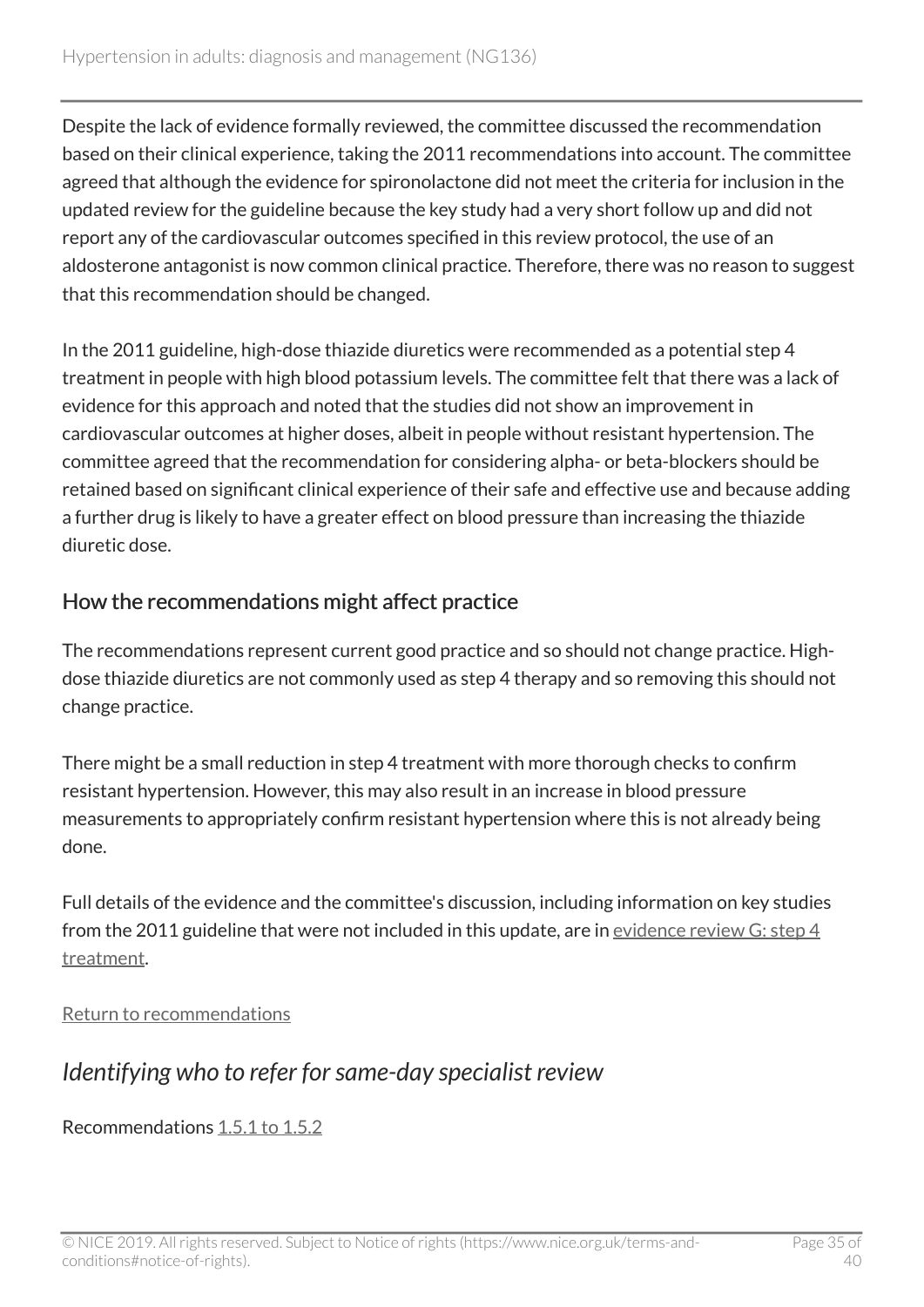Despite the lack of evidence formally reviewed, the committee discussed the recommendation based on their clinical experience, taking the 2011 recommendations into account. The committee agreed that although the evidence for spironolactone did not meet the criteria for inclusion in the updated review for the guideline because the key study had a very short follow up and did not report any of the cardiovascular outcomes specified in this review protocol, the use of an aldosterone antagonist is now common clinical practice. Therefore, there was no reason to suggest that this recommendation should be changed.

In the 2011 guideline, high-dose thiazide diuretics were recommended as a potential step 4 treatment in people with high blood potassium levels. The committee felt that there was a lack of evidence for this approach and noted that the studies did not show an improvement in cardiovascular outcomes at higher doses, albeit in people without resistant hypertension. The committee agreed that the recommendation for considering alpha- or beta-blockers should be retained based on significant clinical experience of their safe and effective use and because adding a further drug is likely to have a greater effect on blood pressure than increasing the thiazide diuretic dose.

### How the recommendations might affect practice

The recommendations represent current good practice and so should not change practice. Highdose thiazide diuretics are not commonly used as step 4 therapy and so removing this should not change practice.

There might be a small reduction in step 4 treatment with more thorough checks to confirm resistant hypertension. However, this may also result in an increase in blood pressure measurements to appropriately confirm resistant hypertension where this is not already being done.

Full details of the evidence and the committee's discussion, including information on key studies from the 2011 guideline that were not included in this update, are in [evidence review G: step](https://www.nice.org.uk/guidance/ng136/evidence/g-step-4-treatment-pdf-6896748212) 4 [treatment](https://www.nice.org.uk/guidance/ng136/evidence/g-step-4-treatment-pdf-6896748212).

[Return to recommendations](#page-15-1)

# <span id="page-34-0"></span>*Identifying who to refer for same-day specialist review*

Recommendations [1.5.1 to 1.5.2](#page-16-0)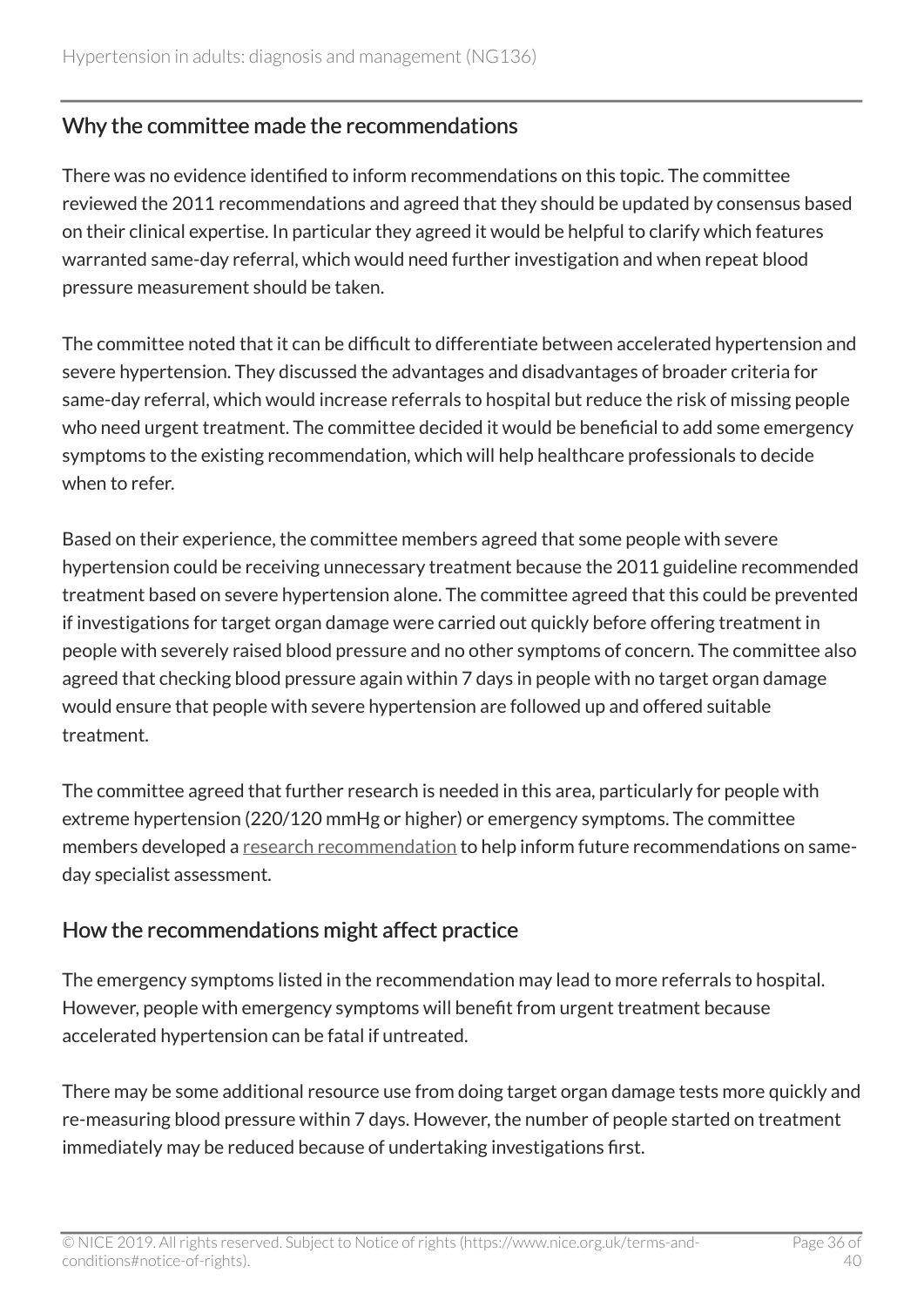#### Why the committee made the recommendations

There was no evidence identified to inform recommendations on this topic. The committee reviewed the 2011 recommendations and agreed that they should be updated by consensus based on their clinical expertise. In particular they agreed it would be helpful to clarify which features warranted same-day referral, which would need further investigation and when repeat blood pressure measurement should be taken.

The committee noted that it can be difficult to differentiate between accelerated hypertension and severe hypertension. They discussed the advantages and disadvantages of broader criteria for same-day referral, which would increase referrals to hospital but reduce the risk of missing people who need urgent treatment. The committee decided it would be beneficial to add some emergency symptoms to the existing recommendation, which will help healthcare professionals to decide when to refer.

Based on their experience, the committee members agreed that some people with severe hypertension could be receiving unnecessary treatment because the 2011 guideline recommended treatment based on severe hypertension alone. The committee agreed that this could be prevented if investigations for target organ damage were carried out quickly before offering treatment in people with severely raised blood pressure and no other symptoms of concern. The committee also agreed that checking blood pressure again within 7 days in people with no target organ damage would ensure that people with severe hypertension are followed up and offered suitable treatment.

The committee agreed that further research is needed in this area, particularly for people with extreme hypertension (220/120 mmHg or higher) or emergency symptoms. The committee members developed a [research recommendation](#page-21-1) to help inform future recommendations on sameday specialist assessment.

### How the recommendations might affect practice

The emergency symptoms listed in the recommendation may lead to more referrals to hospital. However, people with emergency symptoms will benefit from urgent treatment because accelerated hypertension can be fatal if untreated.

There may be some additional resource use from doing target organ damage tests more quickly and re-measuring blood pressure within 7 days. However, the number of people started on treatment immediately may be reduced because of undertaking investigations first.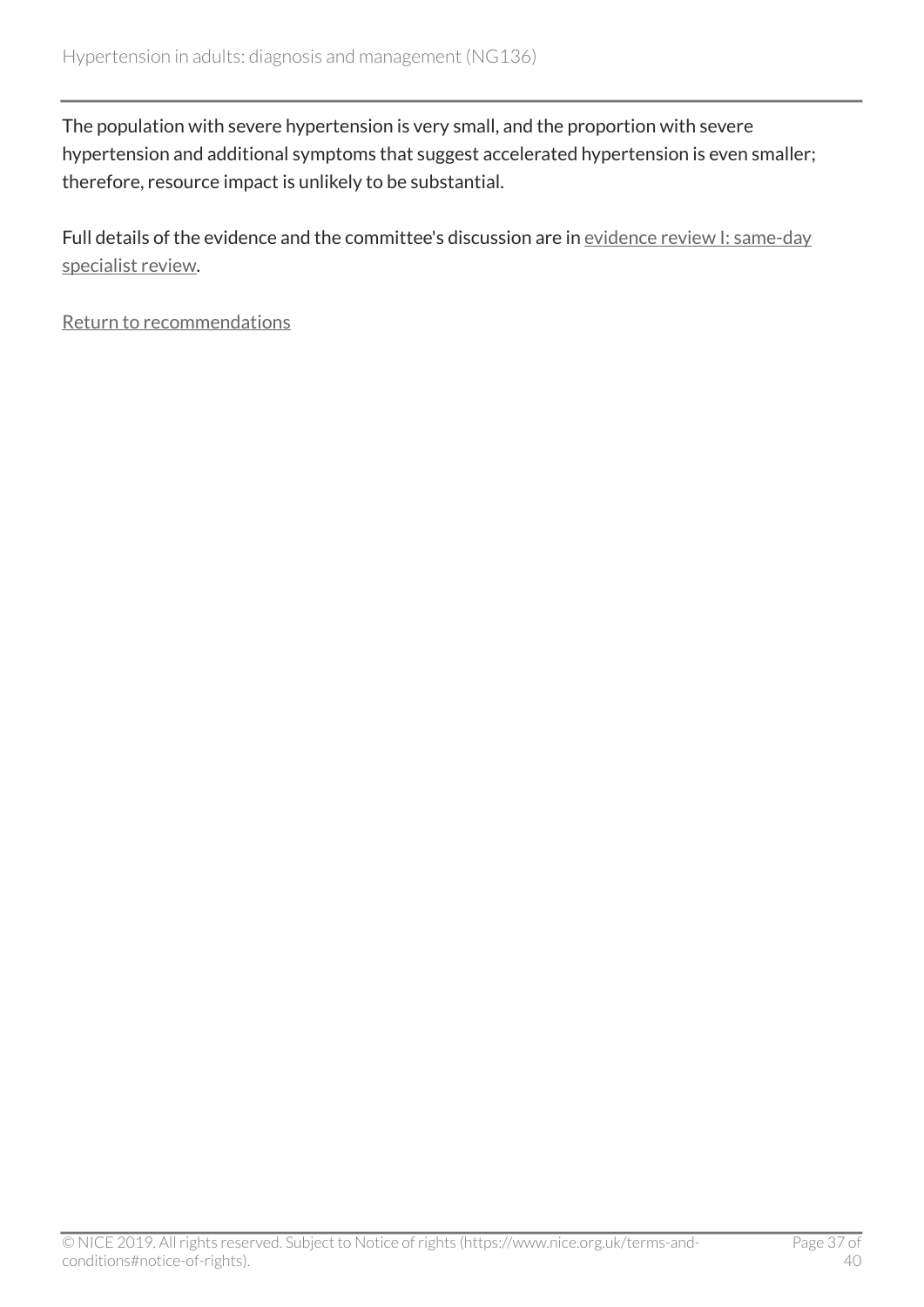The population with severe hypertension is very small, and the proportion with severe hypertension and additional symptoms that suggest accelerated hypertension is even smaller; therefore, resource impact is unlikely to be substantial.

Full details of the evidence and the committee's discussion are in [evidence review I: same-day](https://www.nice.org.uk/guidance/ng136/evidence/i-sameday-specialist-review-pdf-248282935380) [specialist review.](https://www.nice.org.uk/guidance/ng136/evidence/i-sameday-specialist-review-pdf-248282935380)

[Return to recommendations](#page-16-0)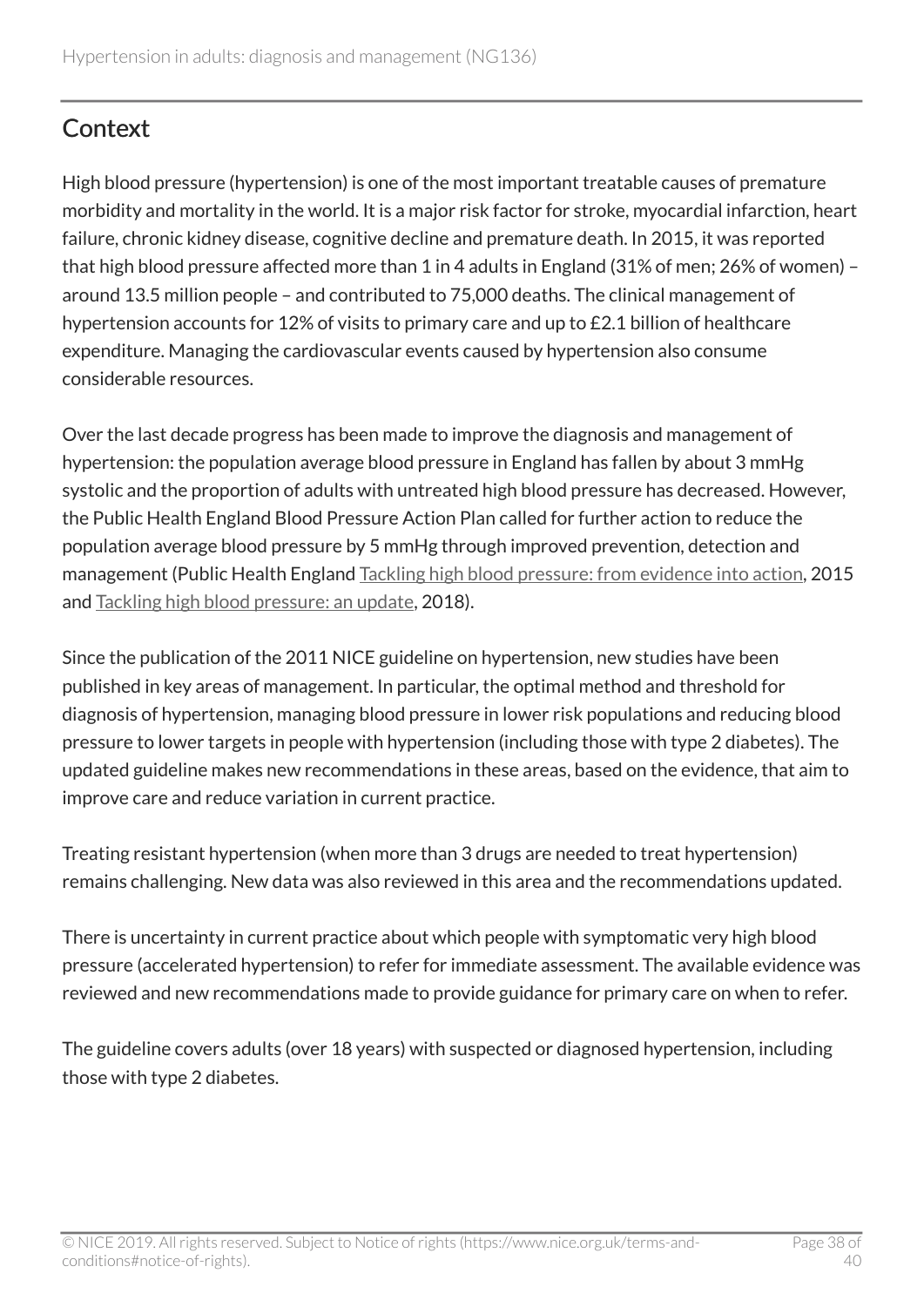# <span id="page-37-0"></span>**Context**

High blood pressure (hypertension) is one of the most important treatable causes of premature morbidity and mortality in the world. It is a major risk factor for stroke, myocardial infarction, heart failure, chronic kidney disease, cognitive decline and premature death. In 2015, it was reported that high blood pressure affected more than 1 in 4 adults in England (31% of men; 26% of women) – around 13.5 million people – and contributed to 75,000 deaths. The clinical management of hypertension accounts for 12% of visits to primary care and up to £2.1 billion of healthcare expenditure. Managing the cardiovascular events caused by hypertension also consume considerable resources.

Over the last decade progress has been made to improve the diagnosis and management of hypertension: the population average blood pressure in England has fallen by about 3 mmHg systolic and the proportion of adults with untreated high blood pressure has decreased. However, the Public Health England Blood Pressure Action Plan called for further action to reduce the population average blood pressure by 5 mmHg through improved prevention, detection and management (Public Health England [Tackling high blood pressure: from evidence into action,](https://www.gov.uk/government/publications/high-blood-pressure-action-plan) 2015 and [Tackling high blood pressure: an update,](https://www.gov.uk/government/publications/high-blood-pressure-action-plan) 2018).

Since the publication of the 2011 NICE guideline on hypertension, new studies have been published in key areas of management. In particular, the optimal method and threshold for diagnosis of hypertension, managing blood pressure in lower risk populations and reducing blood pressure to lower targets in people with hypertension (including those with type 2 diabetes). The updated guideline makes new recommendations in these areas, based on the evidence, that aim to improve care and reduce variation in current practice.

Treating resistant hypertension (when more than 3 drugs are needed to treat hypertension) remains challenging. New data was also reviewed in this area and the recommendations updated.

There is uncertainty in current practice about which people with symptomatic very high blood pressure (accelerated hypertension) to refer for immediate assessment. The available evidence was reviewed and new recommendations made to provide guidance for primary care on when to refer.

The guideline covers adults (over 18 years) with suspected or diagnosed hypertension, including those with type 2 diabetes.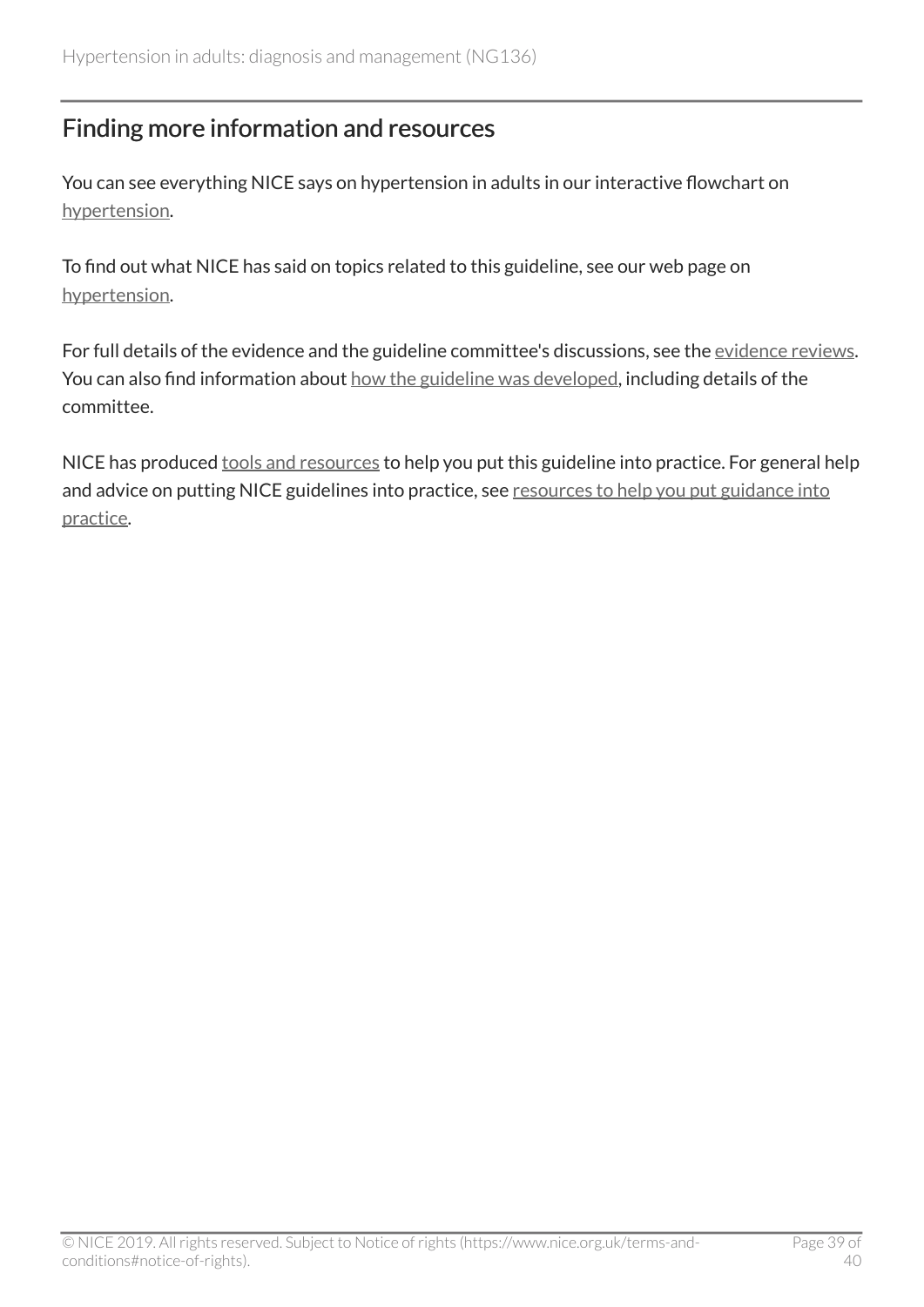# <span id="page-38-0"></span>Finding more information and resources

You can see everything NICE says on hypertension in adults in our interactive flowchart on [hypertension](https://pathways.nice.org.uk/pathways/hypertension).

To find out what NICE has said on topics related to this guideline, see our web page on [hypertension](https://www.nice.org.uk/guidance/conditions-and-diseases/cardiovascular-conditions/hypertension).

For full details of the evidence and the guideline committee's discussions, see the [evidence reviews.](https://www.nice.org.uk/guidance/ng136/evidence/evidence-review-6896748205?tab=evidence) You can also find information about [how the guideline was developed](http://www.nice.org.uk/Guidance/NG136/history), including details of the committee.

NICE has produced [tools and resources](http://www.nice.org.uk/guidance/ng136/resources) to help you put this guideline into practice. For general help and advice on putting NICE guidelines into practice, see [resources to help you put guidance into](https://www.nice.org.uk/about/what-we-do/into-practice/resources-help-put-guidance-into-practice) [practice](https://www.nice.org.uk/about/what-we-do/into-practice/resources-help-put-guidance-into-practice).